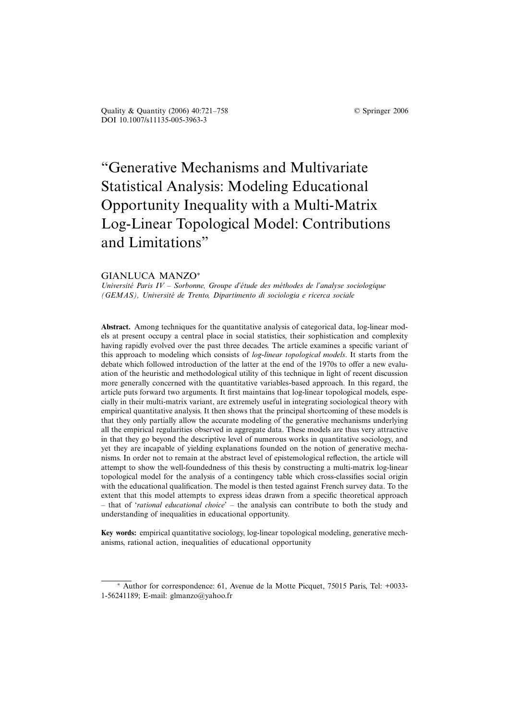# "Generative Mechanisms and Multivariate Statistical Analysis: Modeling Educational Opportunity Inequality with a Multi-Matrix Log-Linear Topological Model: Contributions and Limitations"

#### GIANLUCA MANZO<sup>∗</sup>

*Universite Paris IV – Sorbonne, Groupe d' ´ etude des m ´ ethodes de l'analyse sociologique ´ (GEMAS), Universite de Trento, Dipartimento di sociologia e ricerca sociale ´*

**Abstract.** Among techniques for the quantitative analysis of categorical data, log-linear models at present occupy a central place in social statistics, their sophistication and complexity having rapidly evolved over the past three decades. The article examines a specific variant of this approach to modeling which consists of *log-linear topological models*. It starts from the debate which followed introduction of the latter at the end of the 1970s to offer a new evaluation of the heuristic and methodological utility of this technique in light of recent discussion more generally concerned with the quantitative variables-based approach. In this regard, the article puts forward two arguments. It first maintains that log-linear topological models, especially in their multi-matrix variant, are extremely useful in integrating sociological theory with empirical quantitative analysis. It then shows that the principal shortcoming of these models is that they only partially allow the accurate modeling of the generative mechanisms underlying all the empirical regularities observed in aggregate data. These models are thus very attractive in that they go beyond the descriptive level of numerous works in quantitative sociology, and yet they are incapable of yielding explanations founded on the notion of generative mechanisms. In order not to remain at the abstract level of epistemological reflection, the article will attempt to show the well-foundedness of this thesis by constructing a multi-matrix log-linear topological model for the analysis of a contingency table which cross-classifies social origin with the educational qualification. The model is then tested against French survey data. To the extent that this model attempts to express ideas drawn from a specific theoretical approach – that of '*rational educational choice*' – the analysis can contribute to both the study and understanding of inequalities in educational opportunity.

**Key words:** empirical quantitative sociology, log-linear topological modeling, generative mechanisms, rational action, inequalities of educational opportunity

<sup>∗</sup> Author for correspondence: 61, Avenue de la Motte Picquet, 75015 Paris, Tel: +0033- 1-56241189; E-mail: glmanzo@yahoo.fr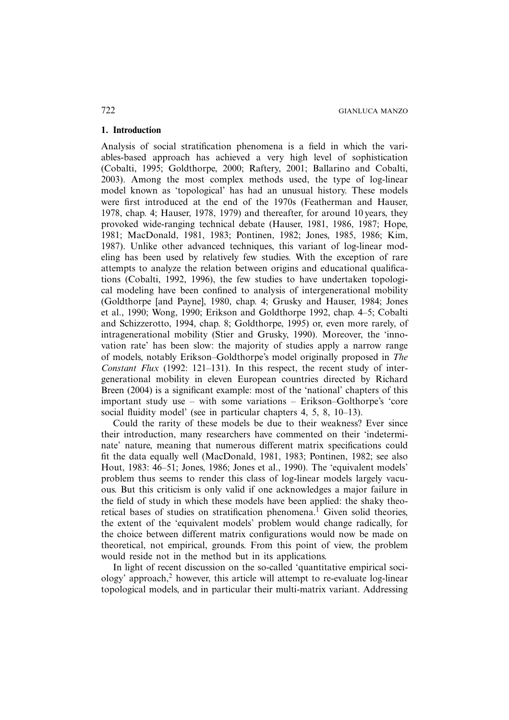#### **1. Introduction**

Analysis of social stratification phenomena is a field in which the variables-based approach has achieved a very high level of sophistication (Cobalti, 1995; Goldthorpe, 2000; Raftery, 2001; Ballarino and Cobalti, 2003). Among the most complex methods used, the type of log-linear model known as 'topological' has had an unusual history. These models were first introduced at the end of the 1970s (Featherman and Hauser, 1978, chap. 4; Hauser, 1978, 1979) and thereafter, for around 10 years, they provoked wide-ranging technical debate (Hauser, 1981, 1986, 1987; Hope, 1981; MacDonald, 1981, 1983; Pontinen, 1982; Jones, 1985, 1986; Kim, 1987). Unlike other advanced techniques, this variant of log-linear modeling has been used by relatively few studies. With the exception of rare attempts to analyze the relation between origins and educational qualifications (Cobalti, 1992, 1996), the few studies to have undertaken topological modeling have been confined to analysis of intergenerational mobility (Goldthorpe [and Payne], 1980, chap. 4; Grusky and Hauser, 1984; Jones et al., 1990; Wong, 1990; Erikson and Goldthorpe 1992, chap. 4–5; Cobalti and Schizzerotto, 1994, chap. 8; Goldthorpe, 1995) or, even more rarely, of intragenerational mobility (Stier and Grusky, 1990). Moreover, the 'innovation rate' has been slow: the majority of studies apply a narrow range of models, notably Erikson–Goldthorpe's model originally proposed in *The Constant Flux* (1992: 121–131). In this respect, the recent study of intergenerational mobility in eleven European countries directed by Richard Breen (2004) is a significant example: most of the 'national' chapters of this important study use – with some variations – Erikson–Golthorpe's 'core social fluidity model' (see in particular chapters 4, 5, 8, 10–13).

Could the rarity of these models be due to their weakness? Ever since their introduction, many researchers have commented on their 'indeterminate' nature, meaning that numerous different matrix specifications could fit the data equally well (MacDonald, 1981, 1983; Pontinen, 1982; see also Hout, 1983: 46–51; Jones, 1986; Jones et al., 1990). The 'equivalent models' problem thus seems to render this class of log-linear models largely vacuous. But this criticism is only valid if one acknowledges a major failure in the field of study in which these models have been applied: the shaky theoretical bases of studies on stratification phenomena.<sup>1</sup> Given solid theories, the extent of the 'equivalent models' problem would change radically, for the choice between different matrix configurations would now be made on theoretical, not empirical, grounds. From this point of view, the problem would reside not in the method but in its applications.

In light of recent discussion on the so-called 'quantitative empirical soci- $\alpha$ ology' approach,<sup>2</sup> however, this article will attempt to re-evaluate log-linear topological models, and in particular their multi-matrix variant. Addressing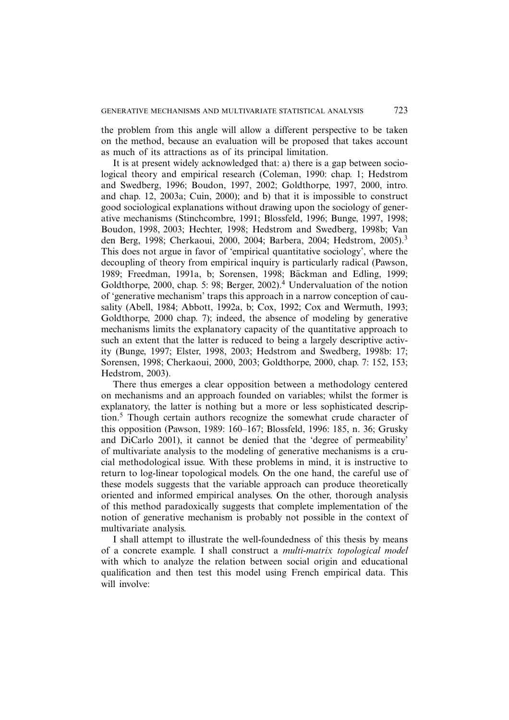the problem from this angle will allow a different perspective to be taken on the method, because an evaluation will be proposed that takes account as much of its attractions as of its principal limitation.

It is at present widely acknowledged that: a) there is a gap between sociological theory and empirical research (Coleman, 1990: chap. 1; Hedstrom and Swedberg, 1996; Boudon, 1997, 2002; Goldthorpe, 1997, 2000, intro. and chap. 12, 2003a; Cuin, 2000); and b) that it is impossible to construct good sociological explanations without drawing upon the sociology of generative mechanisms (Stinchcombre, 1991; Blossfeld, 1996; Bunge, 1997, 1998; Boudon, 1998, 2003; Hechter, 1998; Hedstrom and Swedberg, 1998b; Van den Berg, 1998; Cherkaoui, 2000, 2004; Barbera, 2004; Hedstrom, 2005).<sup>3</sup> This does not argue in favor of 'empirical quantitative sociology', where the decoupling of theory from empirical inquiry is particularly radical (Pawson, 1989; Freedman, 1991a, b; Sorensen, 1998; Bäckman and Edling, 1999; Goldthorpe, 2000, chap. 5: 98; Berger,  $2002$ ).<sup>4</sup> Undervaluation of the notion of 'generative mechanism' traps this approach in a narrow conception of causality (Abell, 1984; Abbott, 1992a, b; Cox, 1992; Cox and Wermuth, 1993; Goldthorpe, 2000 chap. 7); indeed, the absence of modeling by generative mechanisms limits the explanatory capacity of the quantitative approach to such an extent that the latter is reduced to being a largely descriptive activity (Bunge, 1997; Elster, 1998, 2003; Hedstrom and Swedberg, 1998b: 17; Sorensen, 1998; Cherkaoui, 2000, 2003; Goldthorpe, 2000, chap. 7: 152, 153; Hedstrom, 2003).

There thus emerges a clear opposition between a methodology centered on mechanisms and an approach founded on variables; whilst the former is explanatory, the latter is nothing but a more or less sophisticated description.5 Though certain authors recognize the somewhat crude character of this opposition (Pawson, 1989: 160–167; Blossfeld, 1996: 185, n. 36; Grusky and DiCarlo 2001), it cannot be denied that the 'degree of permeability' of multivariate analysis to the modeling of generative mechanisms is a crucial methodological issue. With these problems in mind, it is instructive to return to log-linear topological models. On the one hand, the careful use of these models suggests that the variable approach can produce theoretically oriented and informed empirical analyses. On the other, thorough analysis of this method paradoxically suggests that complete implementation of the notion of generative mechanism is probably not possible in the context of multivariate analysis.

I shall attempt to illustrate the well-foundedness of this thesis by means of a concrete example. I shall construct a *multi-matrix topological model* with which to analyze the relation between social origin and educational qualification and then test this model using French empirical data. This will involve: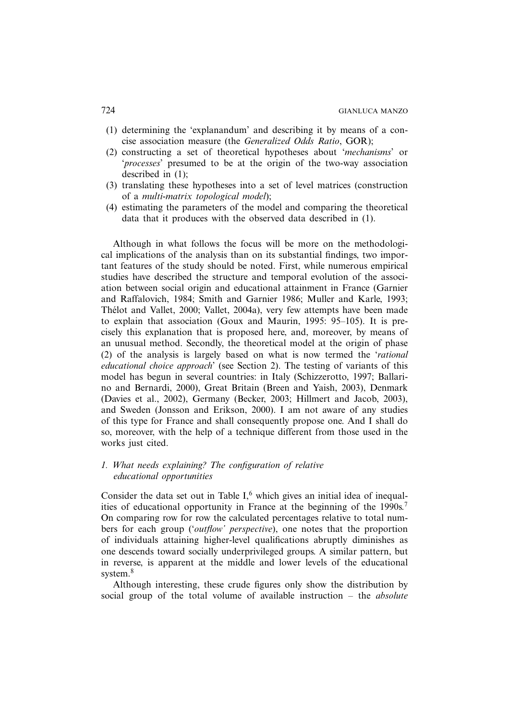- (1) determining the 'explanandum' and describing it by means of a concise association measure (the *Generalized Odds Ratio*, GOR);
- (2) constructing a set of theoretical hypotheses about '*mechanisms*' or '*processes*' presumed to be at the origin of the two-way association described in (1);
- (3) translating these hypotheses into a set of level matrices (construction of a *multi-matrix topological model*);
- (4) estimating the parameters of the model and comparing the theoretical data that it produces with the observed data described in (1).

Although in what follows the focus will be more on the methodological implications of the analysis than on its substantial findings, two important features of the study should be noted. First, while numerous empirical studies have described the structure and temporal evolution of the association between social origin and educational attainment in France (Garnier and Raffalovich, 1984; Smith and Garnier 1986; Muller and Karle, 1993; Thelot and Vallet, 2000; Vallet, 2004a), very few attempts have been made ´ to explain that association (Goux and Maurin, 1995: 95–105). It is precisely this explanation that is proposed here, and, moreover, by means of an unusual method. Secondly, the theoretical model at the origin of phase (2) of the analysis is largely based on what is now termed the '*rational educational choice approach*' (see Section 2). The testing of variants of this model has begun in several countries: in Italy (Schizzerotto, 1997; Ballarino and Bernardi, 2000), Great Britain (Breen and Yaish, 2003), Denmark (Davies et al., 2002), Germany (Becker, 2003; Hillmert and Jacob, 2003), and Sweden (Jonsson and Erikson, 2000). I am not aware of any studies of this type for France and shall consequently propose one. And I shall do so, moreover, with the help of a technique different from those used in the works just cited.

# *1. What needs explaining? The configuration of relative educational opportunities*

Consider the data set out in Table  $I<sub>o</sub><sup>6</sup>$  which gives an initial idea of inequalities of educational opportunity in France at the beginning of the 1990s.<sup>7</sup> On comparing row for row the calculated percentages relative to total numbers for each group ('*outflow' perspective*), one notes that the proportion of individuals attaining higher-level qualifications abruptly diminishes as one descends toward socially underprivileged groups. A similar pattern, but in reverse, is apparent at the middle and lower levels of the educational system.<sup>8</sup>

Although interesting, these crude figures only show the distribution by social group of the total volume of available instruction – the *absolute*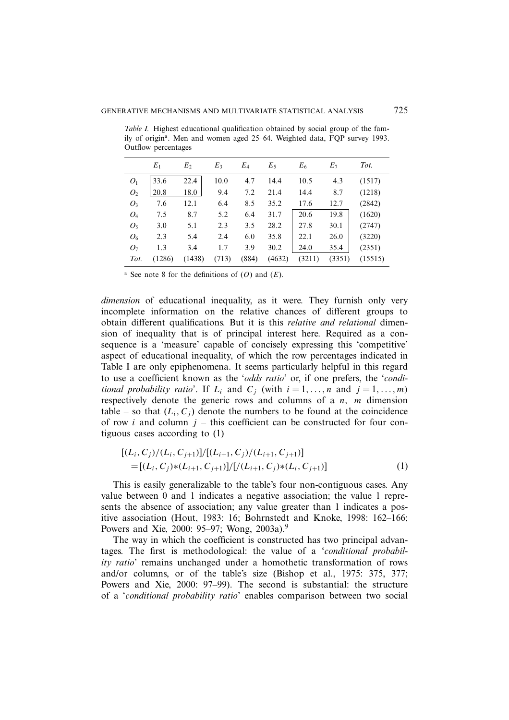|                | $E_1$  | E <sub>2</sub> | $E_3$ | $E_4$ | $E_5$  | $E_6$  | $E_7$  | Tot.    |
|----------------|--------|----------------|-------|-------|--------|--------|--------|---------|
| O <sub>1</sub> | 33.6   | 22.4           | 10.0  | 4.7   | 14.4   | 10.5   | 4.3    | (1517)  |
| O <sub>2</sub> | 20.8   | 18.0           | 9.4   | 7.2   | 21.4   | 14.4   | 8.7    | (1218)  |
| $O_3$          | 7.6    | 12.1           | 6.4   | 8.5   | 35.2   | 17.6   | 12.7   | (2842)  |
| $O_4$          | 7.5    | 8.7            | 5.2   | 6.4   | 31.7   | 20.6   | 19.8   | (1620)  |
| O <sub>5</sub> | 3.0    | 5.1            | 2.3   | 3.5   | 28.2   | 27.8   | 30.1   | (2747)  |
| O <sub>6</sub> | 2.3    | 5.4            | 2.4   | 6.0   | 35.8   | 22.1   | 26.0   | (3220)  |
| O <sub>7</sub> | 1.3    | 3.4            | 1.7   | 3.9   | 30.2   | 24.0   | 35.4   | (2351)  |
| Tot.           | (1286) | (1438)         | (713) | (884) | (4632) | (3211) | (3351) | (15515) |

*Table I.* Highest educational qualification obtained by social group of the family of origin<sup>a</sup>. Men and women aged 25–64. Weighted data, FQP survey 1993. Outflow percentages

<sup>a</sup> See note 8 for the definitions of  $(O)$  and  $(E)$ .

*dimension* of educational inequality, as it were. They furnish only very incomplete information on the relative chances of different groups to obtain different qualifications. But it is this *relative and relational* dimension of inequality that is of principal interest here. Required as a consequence is a 'measure' capable of concisely expressing this 'competitive' aspect of educational inequality, of which the row percentages indicated in Table I are only epiphenomena. It seems particularly helpful in this regard to use a coefficient known as the '*odds ratio*' or, if one prefers, the '*conditional probability ratio*<sup>'</sup>. If  $L_i$  and  $C_j$  (with  $i = 1, ..., n$  and  $j = 1, ..., m$ ) respectively denote the generic rows and columns of a *n, m* dimension table – so that  $(L_i, C_j)$  denote the numbers to be found at the coincidence of row *i* and column *j* – this coefficient can be constructed for four contiguous cases according to (1)

$$
[(L_i, C_j)/(L_i, C_{j+1})]/[(L_{i+1}, C_j)/(L_{i+1}, C_{j+1})]
$$
  
= [(L\_i, C\_j)\*(L\_{i+1}, C\_{j+1})]/[(L\_{i+1}, C\_j)\*(L\_i, C\_{j+1})] (1)

This is easily generalizable to the table's four non-contiguous cases. Any value between 0 and 1 indicates a negative association; the value 1 represents the absence of association; any value greater than 1 indicates a positive association (Hout, 1983: 16; Bohrnstedt and Knoke, 1998: 162–166; Powers and Xie, 2000: 95–97; Wong, 2003a).9

The way in which the coefficient is constructed has two principal advantages. The first is methodological: the value of a '*conditional probability ratio*' remains unchanged under a homothetic transformation of rows and/or columns, or of the table's size (Bishop et al., 1975: 375, 377; Powers and Xie, 2000: 97–99). The second is substantial: the structure of a '*conditional probability ratio*' enables comparison between two social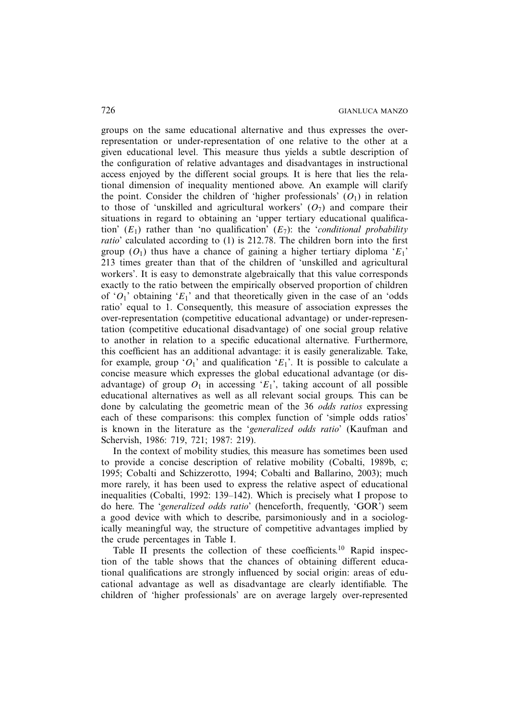groups on the same educational alternative and thus expresses the overrepresentation or under-representation of one relative to the other at a given educational level. This measure thus yields a subtle description of the configuration of relative advantages and disadvantages in instructional access enjoyed by the different social groups. It is here that lies the relational dimension of inequality mentioned above. An example will clarify the point. Consider the children of 'higher professionals'  $(O_1)$  in relation to those of 'unskilled and agricultural workers'  $(O_7)$  and compare their situations in regard to obtaining an 'upper tertiary educational qualification'  $(E_1)$  rather than 'no qualification'  $(E_7)$ : the '*conditional probability ratio*' calculated according to (1) is 212.78. The children born into the first group  $(O_1)$  thus have a chance of gaining a higher tertiary diploma ' $E_1$ ' 213 times greater than that of the children of 'unskilled and agricultural workers'. It is easy to demonstrate algebraically that this value corresponds exactly to the ratio between the empirically observed proportion of children of  $'O_1'$  obtaining  $'E_1'$  and that theoretically given in the case of an 'odds ratio' equal to 1. Consequently, this measure of association expresses the over-representation (competitive educational advantage) or under-representation (competitive educational disadvantage) of one social group relative to another in relation to a specific educational alternative. Furthermore, this coefficient has an additional advantage: it is easily generalizable. Take, for example, group ' $O_1$ ' and qualification ' $E_1$ '. It is possible to calculate a concise measure which expresses the global educational advantage (or disadvantage) of group  $O_1$  in accessing ' $E_1$ ', taking account of all possible educational alternatives as well as all relevant social groups. This can be done by calculating the geometric mean of the 36 *odds ratios* expressing each of these comparisons: this complex function of 'simple odds ratios' is known in the literature as the '*generalized odds ratio*' (Kaufman and Schervish, 1986: 719, 721; 1987: 219).

In the context of mobility studies, this measure has sometimes been used to provide a concise description of relative mobility (Cobalti, 1989b, c; 1995; Cobalti and Schizzerotto, 1994; Cobalti and Ballarino, 2003); much more rarely, it has been used to express the relative aspect of educational inequalities (Cobalti, 1992: 139–142). Which is precisely what I propose to do here. The '*generalized odds ratio*' (henceforth, frequently, 'GOR') seem a good device with which to describe, parsimoniously and in a sociologically meaningful way, the structure of competitive advantages implied by the crude percentages in Table I.

Table II presents the collection of these coefficients.<sup>10</sup> Rapid inspection of the table shows that the chances of obtaining different educational qualifications are strongly influenced by social origin: areas of educational advantage as well as disadvantage are clearly identifiable. The children of 'higher professionals' are on average largely over-represented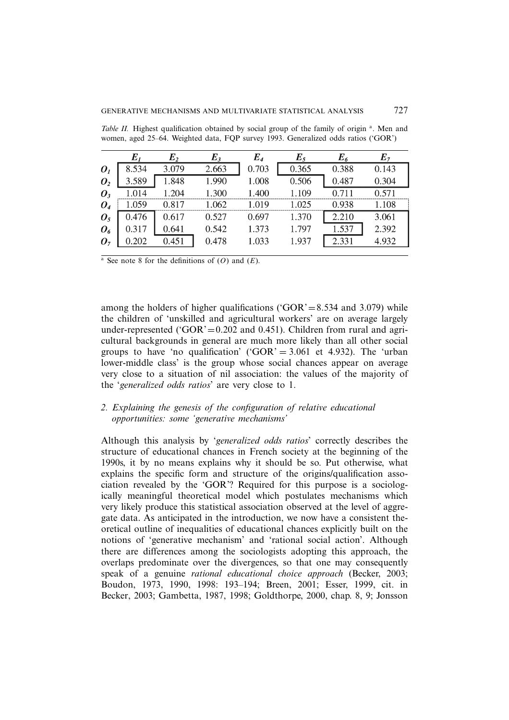|                    | $E_I$ | $\bm{E}_{2}$ | $E_3$ | $E_4$ | $E_5$ | $E_6$ | E <sub>7</sub> |
|--------------------|-------|--------------|-------|-------|-------|-------|----------------|
| $\boldsymbol{o}_t$ | 8.534 | 3.079        | 2.663 | 0.703 | 0.365 | 0.388 | 0.143          |
| $\boldsymbol{0}_2$ | 3.589 | 1.848        | 1.990 | 1.008 | 0.506 | 0.487 | 0.304          |
| $\boldsymbol{0}_3$ | l.014 | 1.204        | 1.300 | 1.400 | 1.109 | 0.711 | 0.571          |
| $\bm{O_4}$         | 1.059 | 0.817        | 1.062 | 1.019 | 1.025 | 0.938 | 1.108          |
| $\bm{o}_5$         | 0.476 | 0.617        | 0.527 | 0.697 | 1.370 | 2.210 | 3.061          |
| $\bm{o}_6$         | 0.317 | 0.641        | 0.542 | 1.373 | 1.797 | 1.537 | 2.392          |
| $\bm{O}_7$         | 0.202 | 0.451        | 0.478 | 1.033 | 1.937 | 2.331 | 4.932          |

*Table II.* Highest qualification obtained by social group of the family of origin <sup>a</sup>. Men and women, aged 25–64. Weighted data, FQP survey 1993. Generalized odds ratios ('GOR')

 $\frac{a}{\sqrt{a}}$  See note 8 for the definitions of (*O*) and (*E*).

among the holders of higher qualifications ('GOR'=8*.*534 and 3.079) while the children of 'unskilled and agricultural workers' are on average largely under-represented ('GOR'=0.202 and 0.451). Children from rural and agricultural backgrounds in general are much more likely than all other social groups to have 'no qualification' ('GOR'  $= 3.061$  et 4.932). The 'urban lower-middle class' is the group whose social chances appear on average very close to a situation of nil association: the values of the majority of the '*generalized odds ratios*' are very close to 1.

# *2. Explaining the genesis of the configuration of relative educational opportunities: some 'generative mechanisms'*

Although this analysis by '*generalized odds ratios*' correctly describes the structure of educational chances in French society at the beginning of the 1990s, it by no means explains why it should be so. Put otherwise, what explains the specific form and structure of the origins/qualification association revealed by the 'GOR'? Required for this purpose is a sociologically meaningful theoretical model which postulates mechanisms which very likely produce this statistical association observed at the level of aggregate data. As anticipated in the introduction, we now have a consistent theoretical outline of inequalities of educational chances explicitly built on the notions of 'generative mechanism' and 'rational social action'. Although there are differences among the sociologists adopting this approach, the overlaps predominate over the divergences, so that one may consequently speak of a genuine *rational educational choice approach* (Becker, 2003; Boudon, 1973, 1990, 1998: 193–194; Breen, 2001; Esser, 1999, cit. in Becker, 2003; Gambetta, 1987, 1998; Goldthorpe, 2000, chap. 8, 9; Jonsson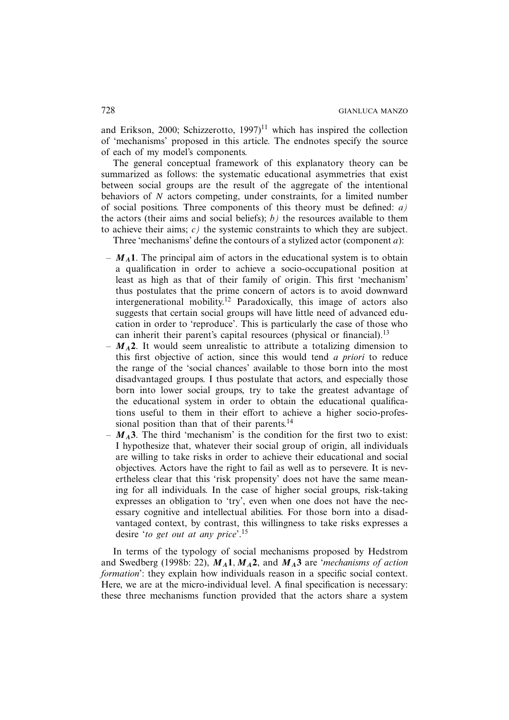and Erikson, 2000; Schizzerotto,  $1997$ <sup> $11$ </sup> which has inspired the collection of 'mechanisms' proposed in this article. The endnotes specify the source of each of my model's components.

The general conceptual framework of this explanatory theory can be summarized as follows: the systematic educational asymmetries that exist between social groups are the result of the aggregate of the intentional behaviors of *N* actors competing, under constraints, for a limited number of social positions. Three components of this theory must be defined: *a)* the actors (their aims and social beliefs);  $b$ ) the resources available to them to achieve their aims; *c)* the systemic constraints to which they are subject.

Three 'mechanisms' define the contours of a stylized actor (component *a*):

- $-M_A$ **1**. The principal aim of actors in the educational system is to obtain a qualification in order to achieve a socio-occupational position at least as high as that of their family of origin. This first 'mechanism' thus postulates that the prime concern of actors is to avoid downward intergenerational mobility.12 Paradoxically, this image of actors also suggests that certain social groups will have little need of advanced education in order to 'reproduce'. This is particularly the case of those who can inherit their parent's capital resources (physical or financial).<sup>13</sup>
- $-M_A2$ . It would seem unrealistic to attribute a totalizing dimension to this first objective of action, since this would tend *a priori* to reduce the range of the 'social chances' available to those born into the most disadvantaged groups. I thus postulate that actors, and especially those born into lower social groups, try to take the greatest advantage of the educational system in order to obtain the educational qualifications useful to them in their effort to achieve a higher socio-professional position than that of their parents.<sup>14</sup>
- $-M_A$ **3**. The third 'mechanism' is the condition for the first two to exist: I hypothesize that, whatever their social group of origin, all individuals are willing to take risks in order to achieve their educational and social objectives. Actors have the right to fail as well as to persevere. It is nevertheless clear that this 'risk propensity' does not have the same meaning for all individuals. In the case of higher social groups, risk-taking expresses an obligation to 'try', even when one does not have the necessary cognitive and intellectual abilities. For those born into a disadvantaged context, by contrast, this willingness to take risks expresses a desire '*to get out at any price*'.15

In terms of the typology of social mechanisms proposed by Hedstrom and Swedberg (1998b: 22),  $M_A$ **1**,  $M_A$ **2**, and  $M_A$ **3** are '*mechanisms of action formation*': they explain how individuals reason in a specific social context. Here, we are at the micro-individual level. A final specification is necessary: these three mechanisms function provided that the actors share a system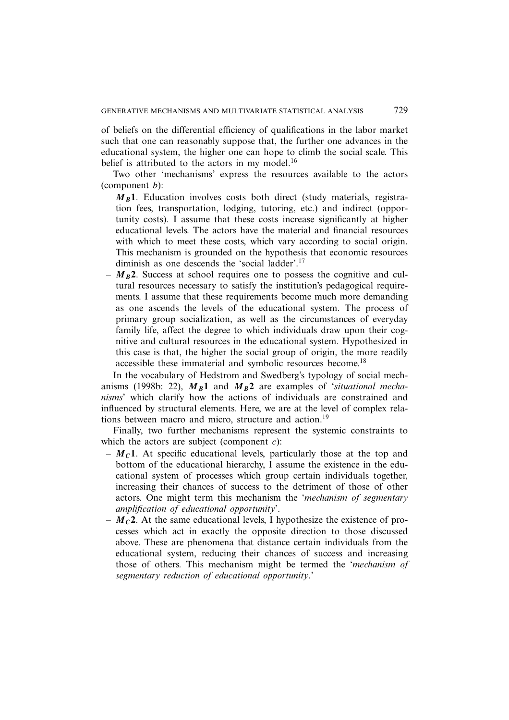of beliefs on the differential efficiency of qualifications in the labor market such that one can reasonably suppose that, the further one advances in the educational system, the higher one can hope to climb the social scale. This belief is attributed to the actors in my model.<sup>16</sup>

Two other 'mechanisms' express the resources available to the actors (component *b*):

- $-M_B$ **1**. Education involves costs both direct (study materials, registration fees, transportation, lodging, tutoring, etc.) and indirect (opportunity costs). I assume that these costs increase significantly at higher educational levels. The actors have the material and financial resources with which to meet these costs, which vary according to social origin. This mechanism is grounded on the hypothesis that economic resources diminish as one descends the 'social ladder'.17
- $-M_B2$ . Success at school requires one to possess the cognitive and cultural resources necessary to satisfy the institution's pedagogical requirements. I assume that these requirements become much more demanding as one ascends the levels of the educational system. The process of primary group socialization, as well as the circumstances of everyday family life, affect the degree to which individuals draw upon their cognitive and cultural resources in the educational system. Hypothesized in this case is that, the higher the social group of origin, the more readily accessible these immaterial and symbolic resources become.18

In the vocabulary of Hedstrom and Swedberg's typology of social mechanisms (1998b: 22),  $M_B 1$  and  $M_B 2$  are examples of *'situational mechanisms*' which clarify how the actions of individuals are constrained and influenced by structural elements. Here, we are at the level of complex relations between macro and micro, structure and action.<sup>19</sup>

Finally, two further mechanisms represent the systemic constraints to which the actors are subject (component *c*):

- $-M<sub>C</sub>$ **1**. At specific educational levels, particularly those at the top and bottom of the educational hierarchy, I assume the existence in the educational system of processes which group certain individuals together, increasing their chances of success to the detriment of those of other actors. One might term this mechanism the '*mechanism of segmentary amplification of educational opportunity*'.
- $-M<sub>C</sub>$ <sup>2</sup>. At the same educational levels, I hypothesize the existence of processes which act in exactly the opposite direction to those discussed above. These are phenomena that distance certain individuals from the educational system, reducing their chances of success and increasing those of others. This mechanism might be termed the '*mechanism of segmentary reduction of educational opportunity*.'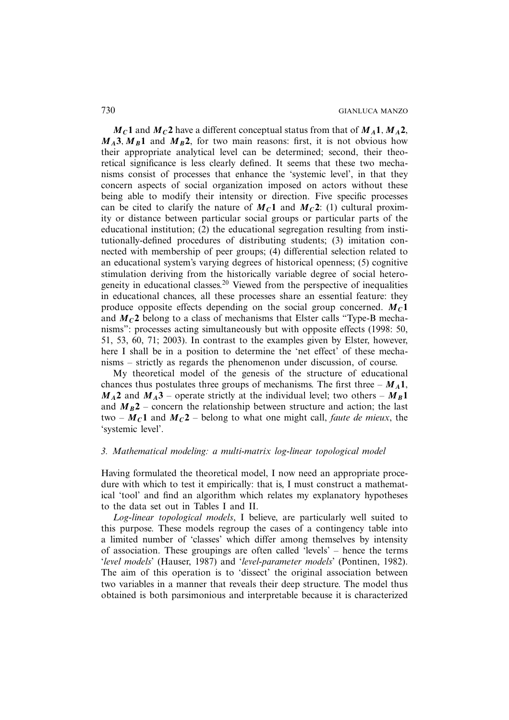$M_c$ **1** and  $M_c$ **2** have a different conceptual status from that of  $M_A$ **1**,  $M_A$ **2**,  $M_A$ **3**,  $M_B$ **1** and  $M_B$ **2**, for two main reasons: first, it is not obvious how their appropriate analytical level can be determined; second, their theoretical significance is less clearly defined. It seems that these two mechanisms consist of processes that enhance the 'systemic level', in that they concern aspects of social organization imposed on actors without these being able to modify their intensity or direction. Five specific processes can be cited to clarify the nature of  $M<sub>C</sub>1$  and  $M<sub>C</sub>2$ : (1) cultural proximity or distance between particular social groups or particular parts of the educational institution; (2) the educational segregation resulting from institutionally-defined procedures of distributing students; (3) imitation connected with membership of peer groups; (4) differential selection related to an educational system's varying degrees of historical openness; (5) cognitive stimulation deriving from the historically variable degree of social heterogeneity in educational classes.<sup>20</sup> Viewed from the perspective of inequalities in educational chances, all these processes share an essential feature: they produce opposite effects depending on the social group concerned.  $M_c1$ and  $M_c$ **2** belong to a class of mechanisms that Elster calls "Type-B mechanisms": processes acting simultaneously but with opposite effects (1998: 50, 51, 53, 60, 71; 2003). In contrast to the examples given by Elster, however, here I shall be in a position to determine the 'net effect' of these mechanisms – strictly as regards the phenomenon under discussion, of course.

My theoretical model of the genesis of the structure of educational chances thus postulates three groups of mechanisms. The first three  $-M<sub>A</sub>1$ ,  $M_A$ **2** and  $M_A$ **3** – operate strictly at the individual level; two others –  $M_B$ **1** and  $M_B2$  – concern the relationship between structure and action; the last two –  $M_c1$  and  $M_c2$  – belong to what one might call, *faute de mieux*, the 'systemic level'.

## *3. Mathematical modeling: a multi-matrix log-linear topological model*

Having formulated the theoretical model, I now need an appropriate procedure with which to test it empirically: that is, I must construct a mathematical 'tool' and find an algorithm which relates my explanatory hypotheses to the data set out in Tables I and II.

*Log-linear topological models*, I believe, are particularly well suited to this purpose. These models regroup the cases of a contingency table into a limited number of 'classes' which differ among themselves by intensity of association. These groupings are often called 'levels' – hence the terms '*level models*' (Hauser, 1987) and '*level-parameter models*' (Pontinen, 1982). The aim of this operation is to 'dissect' the original association between two variables in a manner that reveals their deep structure. The model thus obtained is both parsimonious and interpretable because it is characterized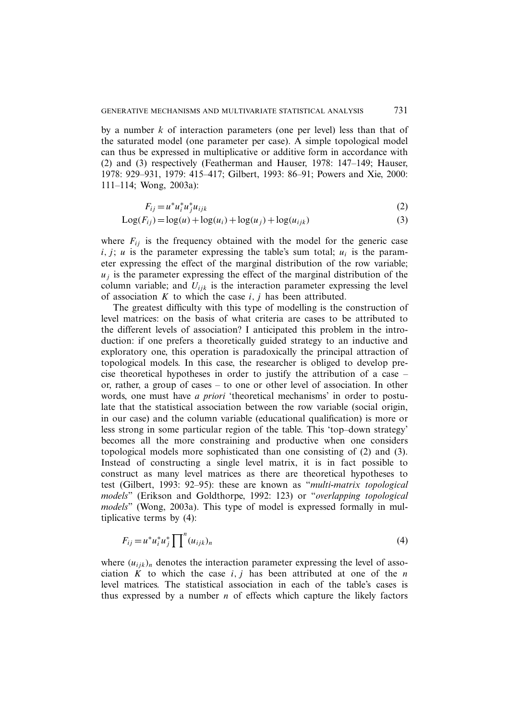by a number *k* of interaction parameters (one per level) less than that of the saturated model (one parameter per case). A simple topological model can thus be expressed in multiplicative or additive form in accordance with (2) and (3) respectively (Featherman and Hauser, 1978: 147–149; Hauser, 1978: 929–931, 1979: 415–417; Gilbert, 1993: 86–91; Powers and Xie, 2000: 111–114; Wong, 2003a):

$$
F_{ij} = u^* u_i^* u_{ijk}^* \tag{2}
$$

$$
Log(F_{ij}) = log(u) + log(u_i) + log(u_j) + log(u_{ijk})
$$
\n(3)

where  $F_{ij}$  is the frequency obtained with the model for the generic case *i, j; u* is the parameter expressing the table's sum total;  $u_i$  is the parameter expressing the effect of the marginal distribution of the row variable;  $u_i$  is the parameter expressing the effect of the marginal distribution of the column variable; and  $U_{ijk}$  is the interaction parameter expressing the level of association *K* to which the case *i, j* has been attributed.

The greatest difficulty with this type of modelling is the construction of level matrices: on the basis of what criteria are cases to be attributed to the different levels of association? I anticipated this problem in the introduction: if one prefers a theoretically guided strategy to an inductive and exploratory one, this operation is paradoxically the principal attraction of topological models. In this case, the researcher is obliged to develop precise theoretical hypotheses in order to justify the attribution of a case – or, rather, a group of cases – to one or other level of association. In other words, one must have *a priori* 'theoretical mechanisms' in order to postulate that the statistical association between the row variable (social origin, in our case) and the column variable (educational qualification) is more or less strong in some particular region of the table. This 'top–down strategy' becomes all the more constraining and productive when one considers topological models more sophisticated than one consisting of (2) and (3). Instead of constructing a single level matrix, it is in fact possible to construct as many level matrices as there are theoretical hypotheses to test (Gilbert, 1993: 92–95): these are known as "*multi-matrix topological models*" (Erikson and Goldthorpe, 1992: 123) or "*overlapping topological models*" (Wong, 2003a). This type of model is expressed formally in multiplicative terms by (4):

$$
F_{ij} = u^* u_i^* u_j^* \prod^n (u_{ijk})_n \tag{4}
$$

where  $(u_{ijk})_n$  denotes the interaction parameter expressing the level of association *K* to which the case *i, j* has been attributed at one of the *n* level matrices. The statistical association in each of the table's cases is thus expressed by a number *n* of effects which capture the likely factors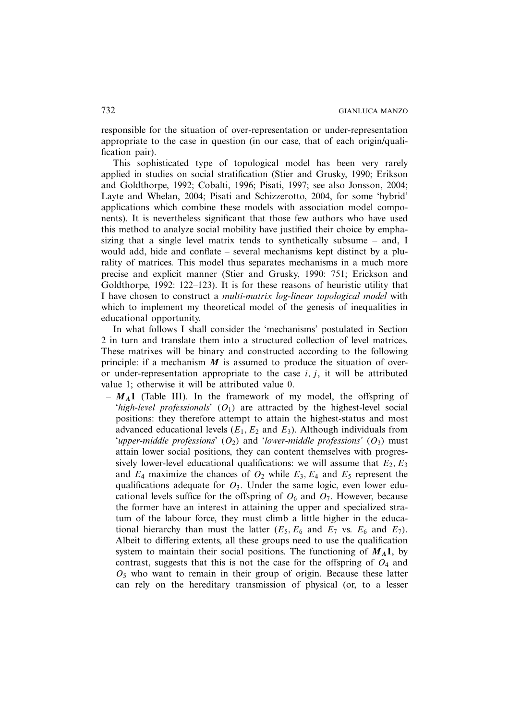responsible for the situation of over-representation or under-representation appropriate to the case in question (in our case, that of each origin/qualification pair).

This sophisticated type of topological model has been very rarely applied in studies on social stratification (Stier and Grusky, 1990; Erikson and Goldthorpe, 1992; Cobalti, 1996; Pisati, 1997; see also Jonsson, 2004; Layte and Whelan, 2004; Pisati and Schizzerotto, 2004, for some 'hybrid' applications which combine these models with association model components). It is nevertheless significant that those few authors who have used this method to analyze social mobility have justified their choice by emphasizing that a single level matrix tends to synthetically subsume – and, I would add, hide and conflate – several mechanisms kept distinct by a plurality of matrices. This model thus separates mechanisms in a much more precise and explicit manner (Stier and Grusky, 1990: 751; Erickson and Goldthorpe, 1992: 122–123). It is for these reasons of heuristic utility that I have chosen to construct a *multi-matrix log-linear topological model* with which to implement my theoretical model of the genesis of inequalities in educational opportunity.

In what follows I shall consider the 'mechanisms' postulated in Section 2 in turn and translate them into a structured collection of level matrices. These matrixes will be binary and constructed according to the following principle: if a mechanism *M* is assumed to produce the situation of overor under-representation appropriate to the case  $i, j$ , it will be attributed value 1; otherwise it will be attributed value 0.

 $-M_A1$  (Table III). In the framework of my model, the offspring of '*high-level professionals*'  $(O_1)$  are attracted by the highest-level social positions: they therefore attempt to attain the highest-status and most advanced educational levels  $(E_1, E_2 \text{ and } E_3)$ . Although individuals from '*upper-middle professions*'  $(O_2)$  and '*lower-middle professions'*  $(O_3)$  must attain lower social positions, they can content themselves with progressively lower-level educational qualifications: we will assume that  $E_2, E_3$ and  $E_4$  maximize the chances of  $O_2$  while  $E_3$ ,  $E_4$  and  $E_5$  represent the qualifications adequate for  $O_3$ . Under the same logic, even lower educational levels suffice for the offspring of  $O_6$  and  $O_7$ . However, because the former have an interest in attaining the upper and specialized stratum of the labour force, they must climb a little higher in the educational hierarchy than must the latter  $(E_5, E_6 \text{ and } E_7 \text{ vs. } E_6 \text{ and } E_7)$ . Albeit to differing extents, all these groups need to use the qualification system to maintain their social positions. The functioning of  $M_A$ **1**, by contrast, suggests that this is not the case for the offspring of *O*<sup>4</sup> and *O*<sup>5</sup> who want to remain in their group of origin. Because these latter can rely on the hereditary transmission of physical (or, to a lesser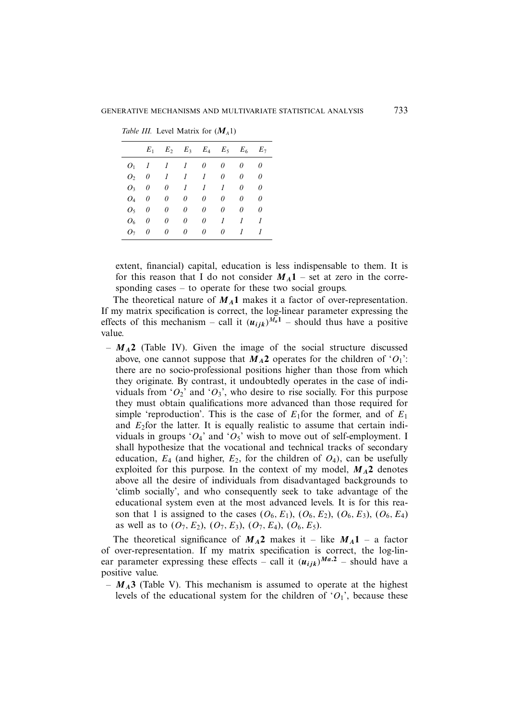*Table III.* Level Matrix for (*MA*1)

|                | $E_1$    |   |               | $E_2$ $E_3$ $E_4$ $E_5$ $E_6$ $E_7$ |   |               |   |
|----------------|----------|---|---------------|-------------------------------------|---|---------------|---|
| O <sub>1</sub> | 1        |   | $1 \quad 1$   | $\theta$                            | 0 | 0             | 0 |
| O <sub>2</sub> | 0        | 1 | $\mathcal{I}$ | $\mathcal{I}$                       | 0 | 0             | 0 |
| O <sub>3</sub> | 0        | 0 | $\mathcal{I}$ | 1                                   | 1 | 0             | 0 |
| $O_4$          | $\theta$ | 0 | 0             | $\theta$                            | 0 | 0             | 0 |
| $O_5$          | 0        | 0 | 0             | 0                                   | 0 | 0             | 0 |
| O <sub>6</sub> | 0        | 0 | 0             | 0                                   | 1 | $\mathcal{I}$ | 1 |
| 07             | 0        | 0 | 0             | $\theta$                            | 0 | 1             | 1 |

extent, financial) capital, education is less indispensable to them. It is for this reason that I do not consider  $M_A1$  – set at zero in the corresponding cases – to operate for these two social groups.

The theoretical nature of  $M_A1$  makes it a factor of over-representation. If my matrix specification is correct, the log-linear parameter expressing the effects of this mechanism – call it  $(u_{ijk})^{M_a}$  – should thus have a positive value.

 $-M_A2$  (Table IV). Given the image of the social structure discussed above, one cannot suppose that  $M_A2$  operates for the children of ' $O_1$ ': there are no socio-professional positions higher than those from which they originate. By contrast, it undoubtedly operates in the case of individuals from ' $O_2$ ' and ' $O_3$ ', who desire to rise socially. For this purpose they must obtain qualifications more advanced than those required for simple 'reproduction'. This is the case of  $E_1$  for the former, and of  $E_1$ and  $E_2$  for the latter. It is equally realistic to assume that certain individuals in groups ' $O_4$ ' and ' $O_5$ ' wish to move out of self-employment. I shall hypothesize that the vocational and technical tracks of secondary education,  $E_4$  (and higher,  $E_2$ , for the children of  $O_4$ ), can be usefully exploited for this purpose. In the context of my model,  $M_A2$  denotes above all the desire of individuals from disadvantaged backgrounds to 'climb socially', and who consequently seek to take advantage of the educational system even at the most advanced levels. It is for this reason that 1 is assigned to the cases  $(O_6, E_1), (O_6, E_2), (O_6, E_3), (O_6, E_4)$ as well as to  $(O_7, E_2)$ ,  $(O_7, E_3)$ ,  $(O_7, E_4)$ ,  $(O_6, E_5)$ .

The theoretical significance of  $M_A2$  makes it – like  $M_A1$  – a factor of over-representation. If my matrix specification is correct, the log-linear parameter expressing these effects – call it  $(u_{ijk})^{Ma.2}$  – should have a positive value.

 $-M_A$ **3** (Table V). This mechanism is assumed to operate at the highest levels of the educational system for the children of  $'O_1'$ , because these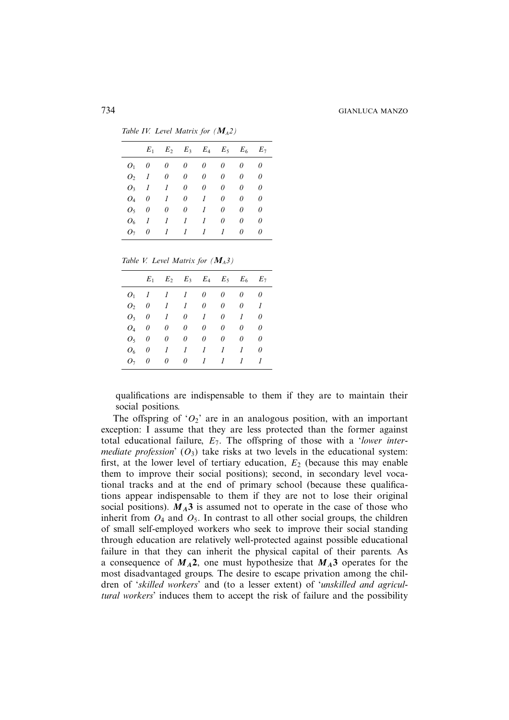*Table IV. Level Matrix for*  $(M_A2)$ 

|                | $E_1$    |   |   | $E_2$ $E_3$ $E_4$ $E_5$ |   |   | $E_6$ $E_7$ |
|----------------|----------|---|---|-------------------------|---|---|-------------|
| O <sub>1</sub> | 0        | 0 | 0 | 0                       | 0 | 0 | 0           |
| O <sub>2</sub> | 1        | 0 | 0 | 0                       | 0 | 0 | 0           |
| $O_3$          | 1        | 1 | 0 | 0                       | 0 | 0 | 0           |
| $O_4$          | $\theta$ | 1 | 0 | $\mathcal I$            | 0 | 0 | 0           |
| Ο,             | $\theta$ | 0 | 0 | $\mathcal I$            | 0 | 0 | 0           |
| O <sub>6</sub> | 1        | 1 | 1 | 1                       | 0 | 0 | 0           |
| Ο7             | 0        | 1 | 1 | $\boldsymbol{l}$        | 1 | 0 | 0           |

*Table V. Level Matrix for*  $(M_A3)$ 

|                | $E_1$ | $E_2$         |               | $E_3$ $E_4$ $E_5$ |               | $E_6$        | $E_7$ |
|----------------|-------|---------------|---------------|-------------------|---------------|--------------|-------|
| O <sub>1</sub> | 1     | $\mathcal{I}$ | $\mathcal{I}$ | 0                 | 0             | 0            |       |
| O <sub>2</sub> | 0     | 1             | $\mathcal{I}$ | 0                 | $\theta$      | 0            | 1     |
| $O_3$          | 0     | 1             | $\theta$      | $\mathcal{I}$     | 0             | 1            | 0     |
| $O_4$          | 0     | 0             | 0             | 0                 | 0             | 0            | 0     |
| $O_5$          | 0     | 0             | 0             | 0                 | 0             | 0            | 0     |
| $O_6$          | 0     | 1             | 1             | $\mathcal{I}$     | $\mathcal{I}$ | $\mathcal I$ | 0     |
| Ο7             | 0     | 0             | 0             | 1                 | $\mathcal{I}$ | 1            | 1     |

qualifications are indispensable to them if they are to maintain their social positions.

The offspring of  $O_2$ <sup>'</sup> are in an analogous position, with an important exception: I assume that they are less protected than the former against total educational failure, *E*7. The offspring of those with a '*lower intermediate profession*'  $(O_3)$  take risks at two levels in the educational system: first, at the lower level of tertiary education,  $E_2$  (because this may enable them to improve their social positions); second, in secondary level vocational tracks and at the end of primary school (because these qualifications appear indispensable to them if they are not to lose their original social positions).  $M_A$ **3** is assumed not to operate in the case of those who inherit from  $O_4$  and  $O_5$ . In contrast to all other social groups, the children of small self-employed workers who seek to improve their social standing through education are relatively well-protected against possible educational failure in that they can inherit the physical capital of their parents. As a consequence of  $M_A2$ , one must hypothesize that  $M_A3$  operates for the most disadvantaged groups. The desire to escape privation among the children of '*skilled workers*' and (to a lesser extent) of '*unskilled and agricultural workers*' induces them to accept the risk of failure and the possibility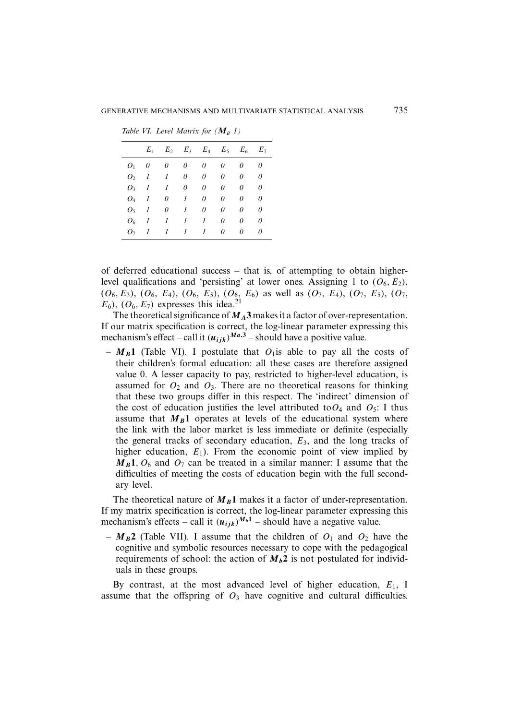*Table VI. Level Matrix for*  $(M_B I)$ 

|                | $E_1$ |               |               | $E_2$ $E_3$ $E_4$ $E_5$ $E_6$ $E_7$ |          |   |   |
|----------------|-------|---------------|---------------|-------------------------------------|----------|---|---|
| O <sub>1</sub> | 0     | 0             | $\theta$      | 0                                   | $\theta$ | 0 | 0 |
| $O_2$          | 1     | $\mathcal{I}$ | 0             | $\theta$                            | 0        | 0 | 0 |
| $O_3$          | 1     | 1             | 0             | 0                                   | 0        | 0 | 0 |
| $O_4$          | 1     | $\theta$      | $\mathcal{I}$ | $\theta$                            | 0        | 0 | 0 |
| O <sub>5</sub> | 1     | $\theta$      | $\mathcal{I}$ | $\theta$                            | 0        | 0 | 0 |
| $O_6$          | 1     | 1             | $\mathcal{I}$ | $\mathcal{I}$                       | 0        | 0 | 0 |
| Ω7             | 1     | $\mathcal{I}$ | $\mathcal{I}$ | $\mathcal{I}$                       | 0        | 0 | 0 |
|                |       |               |               |                                     |          |   |   |

of deferred educational success – that is, of attempting to obtain higherlevel qualifications and 'persisting' at lower ones. Assigning 1 to  $(O_6, E_2)$ ,  $(O_6, E_3)$ ,  $(O_6, E_4)$ ,  $(O_6, E_5)$ ,  $(O_6, E_6)$  as well as  $(O_7, E_4)$ ,  $(O_7, E_5)$ ,  $(O_7,$  $E_6$ ,  $(O_6, E_7)$  expresses this idea.<sup>21</sup>

The theoretical significance of  $M_A$ **3** makes it a factor of over-representation. If our matrix specification is correct, the log-linear parameter expressing this mechanism's effect – call it  $(u_{ijk})^{Ma.3}$  – should have a positive value.

 $-M_B1$  (Table VI). I postulate that  $O_1$  is able to pay all the costs of their children's formal education: all these cases are therefore assigned value 0. A lesser capacity to pay, restricted to higher-level education, is assumed for  $O_2$  and  $O_3$ . There are no theoretical reasons for thinking that these two groups differ in this respect. The 'indirect' dimension of the cost of education justifies the level attributed to  $O_4$  and  $O_5$ : I thus assume that  $M_B$ **1** operates at levels of the educational system where the link with the labor market is less immediate or definite (especially the general tracks of secondary education, *E*3, and the long tracks of higher education,  $E_1$ ). From the economic point of view implied by  $M_B$ **1**,  $O_6$  and  $O_7$  can be treated in a similar manner: I assume that the difficulties of meeting the costs of education begin with the full secondary level.

The theoretical nature of  $M_B1$  makes it a factor of under-representation. If my matrix specification is correct, the log-linear parameter expressing this mechanism's effects – call it  $(u_{ijk})^{M_b}$ <sup>1</sup> – should have a negative value.

 $-M_B2$  (Table VII). I assume that the children of  $O_1$  and  $O_2$  have the cognitive and symbolic resources necessary to cope with the pedagogical requirements of school: the action of  $M_b 2$  is not postulated for individuals in these groups.

By contrast, at the most advanced level of higher education, *E*1, I assume that the offspring of  $O_3$  have cognitive and cultural difficulties.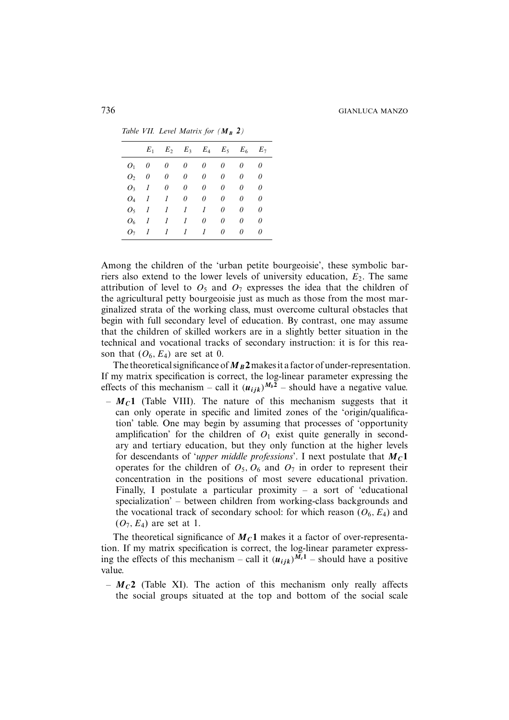*Table VII. Level Matrix for*  $(M_B 2)$ 

|                | $E_1$ |               |                |               | $E_2$ $E_3$ $E_4$ $E_5$ $E_6$ $E_7$ |   |   |
|----------------|-------|---------------|----------------|---------------|-------------------------------------|---|---|
| O <sub>1</sub> | 0     | $\theta$      | $\theta^-$     | 0             | 0                                   | 0 | 0 |
| $O_2$          | 0     | 0             | 0              | $\theta$      | 0                                   | 0 | 0 |
| $O_3$          | 1     | 0             | 0              | 0             | 0                                   | 0 | 0 |
| $O_4$          | 1     | $\mathcal{I}$ | 0              | 0             | 0                                   | 0 | 0 |
| $O_5$          | 1     | $\mathcal{I}$ | $\mathcal{I}$  | 1             | 0                                   | 0 | 0 |
| O <sub>6</sub> | 1     | 1             | $\mathcal{I}$  | 0             | 0                                   | 0 | 0 |
| Ο7             | 1     | 1             | $\overline{I}$ | $\mathcal{I}$ | 0                                   | 0 | 0 |

Among the children of the 'urban petite bourgeoisie', these symbolic barriers also extend to the lower levels of university education,  $E_2$ . The same attribution of level to  $O_5$  and  $O_7$  expresses the idea that the children of the agricultural petty bourgeoisie just as much as those from the most marginalized strata of the working class, must overcome cultural obstacles that begin with full secondary level of education. By contrast, one may assume that the children of skilled workers are in a slightly better situation in the technical and vocational tracks of secondary instruction: it is for this reason that  $(O_6, E_4)$  are set at 0.

The theoretical significance of  $M_B 2$  makes it a factor of under-representation. If my matrix specification is correct, the log-linear parameter expressing the effects of this mechanism – call it  $(u_{ijk})^{M_b 2}$  – should have a negative value.

 $-M<sub>C</sub>$ **1** (Table VIII). The nature of this mechanism suggests that it can only operate in specific and limited zones of the 'origin/qualification' table. One may begin by assuming that processes of 'opportunity amplification' for the children of  $O_1$  exist quite generally in secondary and tertiary education, but they only function at the higher levels for descendants of 'upper middle professions'. I next postulate that  $M_C 1$ operates for the children of  $O_5$ ,  $O_6$  and  $O_7$  in order to represent their concentration in the positions of most severe educational privation. Finally, I postulate a particular proximity – a sort of 'educational specialization' – between children from working-class backgrounds and the vocational track of secondary school: for which reason  $(O_6, E_4)$  and  $(O_7, E_4)$  are set at 1.

The theoretical significance of  $M<sub>C</sub>1$  makes it a factor of over-representation. If my matrix specification is correct, the log-linear parameter expressing the effects of this mechanism – call it  $(u_{ijk})^{M_c 1}$  – should have a positive value.

 $-M<sub>C</sub>2$  (Table XI). The action of this mechanism only really affects the social groups situated at the top and bottom of the social scale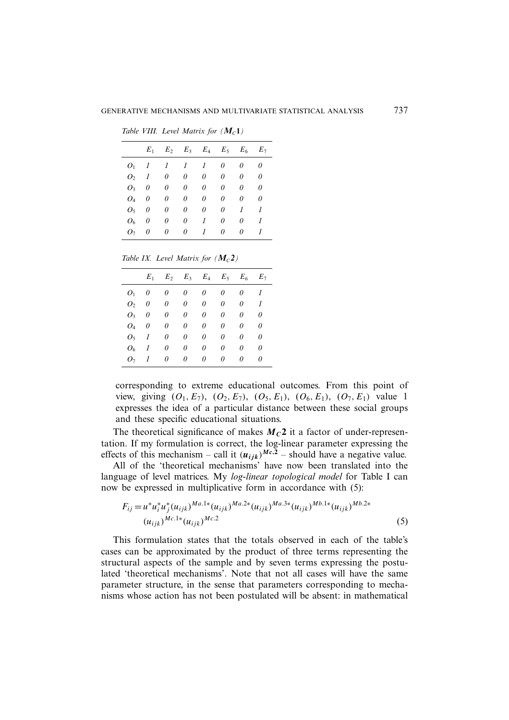*Table VIII. Level Matrix for*  $(M<sub>C</sub>1)$ 

|                | $E_1$ | $E_2$         |                  |               | $E_3$ $E_4$ $E_5$ $E_6$ |              | $E_7$        |
|----------------|-------|---------------|------------------|---------------|-------------------------|--------------|--------------|
| O <sub>1</sub> | 1     | $\mathcal{I}$ | $\boldsymbol{I}$ | $\mathcal{I}$ | 0                       | 0            | 0            |
| $O_2$          | 1     | 0             | $\theta$         | $\theta$      | 0                       | 0            | 0            |
| $O_3$          | 0     | 0             | 0                | 0             | 0                       | 0            | 0            |
| $O_4$          | 0     | 0             | 0                | 0             | 0                       | 0            | 0            |
| O <sub>5</sub> | 0     | 0             | 0                | 0             | 0                       | $\mathcal I$ | $\mathcal I$ |
| $O_6$          | 0     | 0             | 0                | 1             | 0                       | 0            | 1            |
| Ο7             | 0     | 0             | 0                | 1             | 0                       | 0            | 1            |
|                |       |               |                  |               |                         |              |              |

*Table IX. Level Matrix for*  $(M<sub>C</sub>2)$ 

|                | $E_1$    | $E_2$    |          |   | $E_3$ $E_4$ $E_5$ | $E_6$ | $E_7$          |
|----------------|----------|----------|----------|---|-------------------|-------|----------------|
| O <sub>1</sub> | 0        | $\theta$ | $\theta$ | 0 | 0                 | 0     | $\overline{I}$ |
| O <sub>2</sub> | $\theta$ | 0        | $\theta$ | 0 | 0                 | 0     | 1              |
| $O_3$          | 0        | 0        | 0        | 0 | 0                 | 0     | 0              |
| $O_4$          | $\theta$ | 0        | 0        | 0 | 0                 | 0     | 0              |
| $O_5$          | 1        | 0        | 0        | 0 | 0                 | 0     | 0              |
| $O_6$          | 1        | 0        | 0        | 0 | 0                 | 0     | 0              |
| Ο7             | 1        | 0        | 0        | 0 | 0                 | 0     | 0              |
|                |          |          |          |   |                   |       |                |

*Ma.*1∗

corresponding to extreme educational outcomes. From this point of view, giving  $(O_1, E_7)$ ,  $(O_2, E_7)$ ,  $(O_5, E_1)$ ,  $(O_6, E_1)$ ,  $(O_7, E_1)$  value 1 expresses the idea of a particular distance between these social groups and these specific educational situations.

The theoretical significance of makes  $M_C$ **2** it a factor of under-representation. If my formulation is correct, the log-linear parameter expressing the effects of this mechanism – call it  $(u_{ijk})^{Mc.2}$  – should have a negative value.

All of the 'theoretical mechanisms' have now been translated into the language of level matrices. My *log-linear topological model* for Table I can now be expressed in multiplicative form in accordance with (5):

*Ma.*2∗

$$
F_{ij} = u^* u_i^* u_j^* (u_{ijk})^{Ma,1*} (u_{ijk})^{Ma,2*} (u_{ijk})^{Ma,3*} (u_{ijk})^{Mb,1*} (u_{ijk})^{Mb,2*}
$$
  

$$
(u_{ijk})^{Mc,1*} (u_{ijk})^{Mc,2}
$$
 (5)

*Ma.*3∗

*Mb.*1∗

*Mb.*2∗

This formulation states that the totals observed in each of the table's cases can be approximated by the product of three terms representing the structural aspects of the sample and by seven terms expressing the postulated 'theoretical mechanisms'. Note that not all cases will have the same parameter structure, in the sense that parameters corresponding to mechanisms whose action has not been postulated will be absent: in mathematical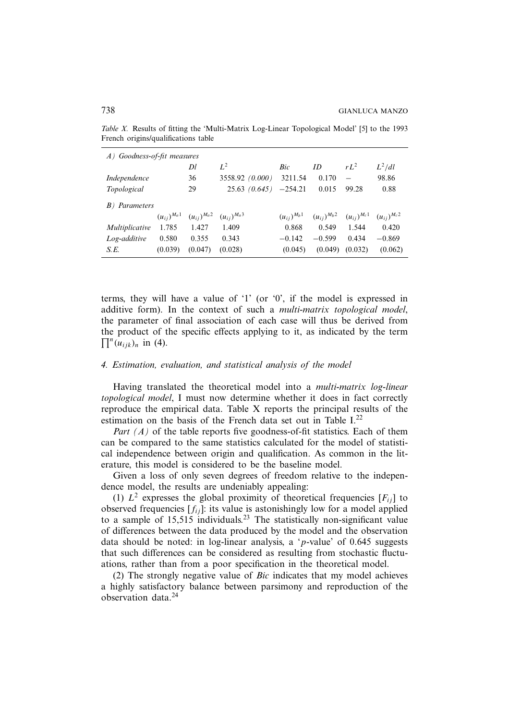| A) Goodness-of-fit measures |                               |                    |                               |                               |                    |                    |                    |  |  |  |
|-----------------------------|-------------------------------|--------------------|-------------------------------|-------------------------------|--------------------|--------------------|--------------------|--|--|--|
|                             |                               | Dl                 | $L^2$                         | <b>Bic</b>                    | ID                 | $rL^2$             | $L^2/dl$           |  |  |  |
| Independence                |                               | 36                 | 3558.92 (0.000)               | 3211.54                       | 0.170              |                    | 98.86              |  |  |  |
| Topological                 |                               | 29                 | 25.63(0.645)                  | $-254.21$                     | 0.015              | 99.28              | 0.88               |  |  |  |
|                             | <b>B</b> ) Parameters         |                    |                               |                               |                    |                    |                    |  |  |  |
|                             | $(u_{ij})^{M_a}$ <sup>1</sup> | $(u_{ij})^{M_a 2}$ | $(u_{ij})^{M_a}$ <sup>3</sup> | $(u_{ii})^{M_b}$ <sup>1</sup> | $(u_{ij})^{M_b 2}$ | $(u_{ij})^{M_c 1}$ | $(u_{ij})^{M_c 2}$ |  |  |  |
| <i>Multiplicative</i>       | 1.785                         | 1.427              | 1.409                         | 0.868                         | 0.549              | 1.544              | 0.420              |  |  |  |
| Log-additive                | 0.580                         | 0.355              | 0.343                         | $-0.142$                      | $-0.599$           | 0.434              | $-0.869$           |  |  |  |
| S.E.                        | (0.039)                       | (0.047)            | (0.028)                       | (0.045)                       | (0.049)            | (0.032)            | (0.062)            |  |  |  |

*Table X.* Results of fitting the 'Multi-Matrix Log-Linear Topological Model' [5] to the 1993 French origins/qualifications table

terms, they will have a value of '1' (or '0', if the model is expressed in additive form). In the context of such a *multi-matrix topological model*, the parameter of final association of each case will thus be derived from the product of the specific effects applying to it, as indicated by the term  $\prod^n (u_{ijk})_n$  in (4).

# *4. Estimation, evaluation, and statistical analysis of the model*

Having translated the theoretical model into a *multi-matrix log-linear topological model*, I must now determine whether it does in fact correctly reproduce the empirical data. Table X reports the principal results of the estimation on the basis of the French data set out in Table  $I^{22}$ .

*Part (A)* of the table reports five goodness-of-fit statistics. Each of them can be compared to the same statistics calculated for the model of statistical independence between origin and qualification. As common in the literature, this model is considered to be the baseline model.

Given a loss of only seven degrees of freedom relative to the independence model, the results are undeniably appealing:

(1)  $L^2$  expresses the global proximity of theoretical frequencies  $[F_{ij}]$  to observed frequencies  $[f_{ij}]$ : its value is astonishingly low for a model applied to a sample of  $15,515$  individuals.<sup>23</sup> The statistically non-significant value of differences between the data produced by the model and the observation data should be noted: in log-linear analysis, a '*p*-value' of 0.645 suggests that such differences can be considered as resulting from stochastic fluctuations, rather than from a poor specification in the theoretical model.

(2) The strongly negative value of *Bic* indicates that my model achieves a highly satisfactory balance between parsimony and reproduction of the observation data.24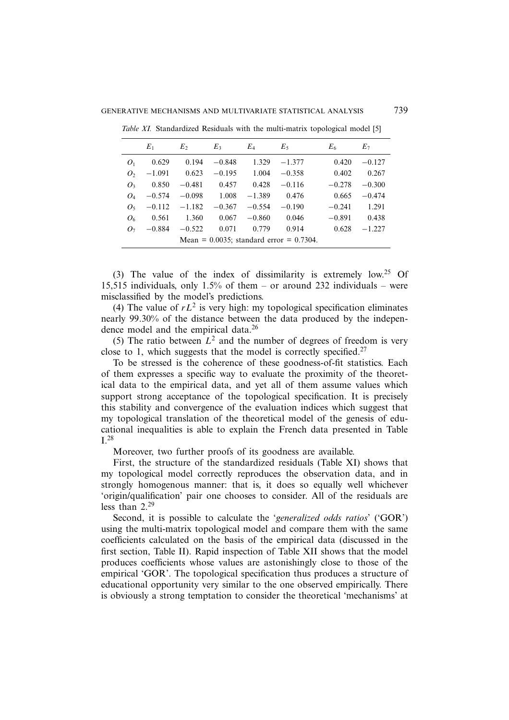|                | $E_1$    | E <sub>2</sub> | $E_3$                                      | $E_4$    | $E_5$    | $E_6$    | $E_7$    |  |  |  |  |
|----------------|----------|----------------|--------------------------------------------|----------|----------|----------|----------|--|--|--|--|
| O <sub>1</sub> | 0.629    | 0.194          | $-0.848$                                   | 1.329    | $-1.377$ | 0.420    | $-0.127$ |  |  |  |  |
| O <sub>2</sub> | $-1.091$ | 0.623          | $-0.195$                                   | 1.004    | $-0.358$ | 0.402    | 0.267    |  |  |  |  |
| O <sub>3</sub> | 0.850    | $-0.481$       | 0.457                                      | 0.428    | $-0.116$ | $-0.278$ | $-0.300$ |  |  |  |  |
| O <sub>4</sub> | $-0.574$ | $-0.098$       | 1.008                                      | $-1.389$ | 0.476    | 0.665    | $-0.474$ |  |  |  |  |
| $O_5$          | $-0.112$ | $-1.182$       | $-0.367$                                   | $-0.554$ | $-0.190$ | $-0.241$ | 1.291    |  |  |  |  |
| O <sub>6</sub> | 0.561    | 1.360          | 0.067                                      | $-0.860$ | 0.046    | $-0.891$ | 0.438    |  |  |  |  |
| O <sub>7</sub> | $-0.884$ | $-0.522$       | 0.071                                      | 0.779    | 0.914    | 0.628    | $-1.227$ |  |  |  |  |
|                |          |                | Mean = $0.0035$ ; standard error = 0.7304. |          |          |          |          |  |  |  |  |

*Table XI.* Standardized Residuals with the multi-matrix topological model [5]

(3) The value of the index of dissimilarity is extremely low.<sup>25</sup> Of 15,515 individuals, only 1.5% of them – or around 232 individuals – were misclassified by the model's predictions.

(4) The value of  $rL^2$  is very high: my topological specification eliminates nearly 99.30% of the distance between the data produced by the independence model and the empirical data.<sup>26</sup>

(5) The ratio between  $L^2$  and the number of degrees of freedom is very close to 1, which suggests that the model is correctly specified.<sup>27</sup>

To be stressed is the coherence of these goodness-of-fit statistics. Each of them expresses a specific way to evaluate the proximity of the theoretical data to the empirical data, and yet all of them assume values which support strong acceptance of the topological specification. It is precisely this stability and convergence of the evaluation indices which suggest that my topological translation of the theoretical model of the genesis of educational inequalities is able to explain the French data presented in Table I.28

Moreover, two further proofs of its goodness are available.

First, the structure of the standardized residuals (Table XI) shows that my topological model correctly reproduces the observation data, and in strongly homogenous manner: that is, it does so equally well whichever 'origin/qualification' pair one chooses to consider. All of the residuals are less than 2.29

Second, it is possible to calculate the '*generalized odds ratios*' ('GOR') using the multi-matrix topological model and compare them with the same coefficients calculated on the basis of the empirical data (discussed in the first section, Table II). Rapid inspection of Table XII shows that the model produces coefficients whose values are astonishingly close to those of the empirical 'GOR'. The topological specification thus produces a structure of educational opportunity very similar to the one observed empirically. There is obviously a strong temptation to consider the theoretical 'mechanisms' at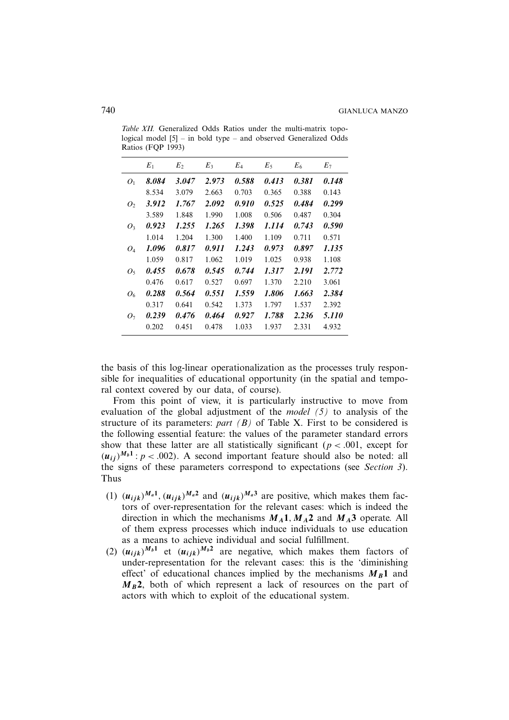|                | $E_1$ | E <sub>2</sub> | $E_3$ | $E_4$ | $E_5$ | $E_{6}$ | $E_7$ |
|----------------|-------|----------------|-------|-------|-------|---------|-------|
| O <sub>1</sub> | 8.084 | 3.047          | 2.973 | 0.588 | 0.413 | 0.381   | 0.148 |
|                | 8.534 | 3.079          | 2.663 | 0.703 | 0.365 | 0.388   | 0.143 |
| 0,             | 3.912 | 1.767          | 2.092 | 0.910 | 0.525 | 0.484   | 0.299 |
|                | 3.589 | 1.848          | 1.990 | 1.008 | 0.506 | 0.487   | 0.304 |
| O <sub>3</sub> | 0.923 | 1.255          | 1.265 | 1.398 | 1.114 | 0.743   | 0.590 |
|                | 1.014 | 1.204          | 1.300 | 1.400 | 1.109 | 0.711   | 0.571 |
| $O_4$          | 1.096 | 0.817          | 0.911 | 1.243 | 0.973 | 0.897   | 1.135 |
|                | 1.059 | 0.817          | 1.062 | 1.019 | 1.025 | 0.938   | 1.108 |
| $O_5$          | 0.455 | 0.678          | 0.545 | 0.744 | 1.317 | 2.191   | 2.772 |
|                | 0.476 | 0.617          | 0.527 | 0.697 | 1.370 | 2.210   | 3.061 |
| O <sub>6</sub> | 0.288 | 0.564          | 0.551 | 1.559 | 1.806 | 1.663   | 2.384 |
|                | 0.317 | 0.641          | 0.542 | 1.373 | 1.797 | 1.537   | 2.392 |
| 07             | 0.239 | 0.476          | 0.464 | 0.927 | 1.788 | 2.236   | 5.110 |
|                | 0.202 | 0.451          | 0.478 | 1.033 | 1.937 | 2.331   | 4.932 |

*Table XII.* Generalized Odds Ratios under the multi-matrix topological model [5] – in bold type – and observed Generalized Odds Ratios (FQP 1993)

the basis of this log-linear operationalization as the processes truly responsible for inequalities of educational opportunity (in the spatial and temporal context covered by our data, of course).

From this point of view, it is particularly instructive to move from evaluation of the global adjustment of the *model (5)* to analysis of the structure of its parameters: *part (B)* of Table X. First to be considered is the following essential feature: the values of the parameter standard errors show that these latter are all statistically significant ( $p < .001$ , except for  $(u_{ij})^{M_b}$ **:**  $p < .002$ ). A second important feature should also be noted: all the signs of these parameters correspond to expectations (see *Section 3*). Thus

- (1)  $(u_{ijk})^{M_a}$ <sup>1</sup>,  $(u_{ijk})^{M_a}$ <sup>2</sup> and  $(u_{ijk})^{M_a}$ <sup>3</sup> are positive, which makes them factors of over-representation for the relevant cases: which is indeed the direction in which the mechanisms  $M_A$ **1**,  $M_A$ **2** and  $M_A$ **3** operate. All of them express processes which induce individuals to use education as a means to achieve individual and social fulfillment.
- (2)  $(u_{ijk})^{M_b}$ <sup>1</sup> et  $(u_{ijk})^{M_b}$ <sup>2</sup> are negative, which makes them factors of under-representation for the relevant cases: this is the 'diminishing effect' of educational chances implied by the mechanisms  $M_B$ **1** and  $M_B$ **2**, both of which represent a lack of resources on the part of actors with which to exploit of the educational system.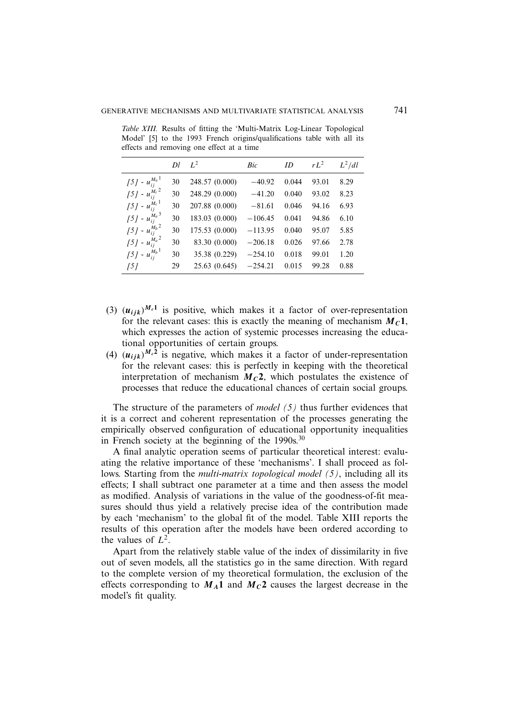|                                     | Dl | $L^2$          | Bic       | ID    | $rL^2$ | $L^2/dl$ |
|-------------------------------------|----|----------------|-----------|-------|--------|----------|
| $[5] - u_{ii}^{M_a}$ <sup>1</sup>   | 30 | 248.57 (0.000) | $-40.92$  | 0.044 | 93.01  | 8.29     |
| $[5]$ - $u_{ii}^{M_c}$ <sup>2</sup> | 30 | 248.29 (0.000) | $-41.20$  | 0.040 | 93.02  | 8.23     |
| $[5] - u_{ij}^{M_c}$                | 30 | 207.88 (0.000) | $-81.61$  | 0.046 | 94.16  | 6.93     |
| $[5]$ - $u_{ii}^{M_a}$ <sup>3</sup> | 30 | 183.03 (0.000) | $-106.45$ | 0.041 | 94.86  | 6.10     |
| $[5] - u_{ii}^{M_b^2}$              | 30 | 175.53 (0.000) | $-113.95$ | 0.040 | 95.07  | 5.85     |
| $[5] - u_{ii}^{M_a^2}$              | 30 | 83.30 (0.000)  | $-206.18$ | 0.026 | 97.66  | 2.78     |
| $[5]$ - $u_{ii}^{M_b}$ <sup>1</sup> | 30 | 35.38 (0.229)  | $-254.10$ | 0.018 | 99.01  | 1.20     |
| $\left[ 5 \right]$                  | 29 | 25.63(0.645)   | $-254.21$ | 0.015 | 99.28  | 0.88     |

*Table XIII.* Results of fitting the 'Multi-Matrix Log-Linear Topological Model' [5] to the 1993 French origins/qualifications table with all its effects and removing one effect at a time

- (3)  $(u_{ijk})^{M_c}$  is positive, which makes it a factor of over-representation for the relevant cases: this is exactly the meaning of mechanism  $M<sub>C</sub>1$ , which expresses the action of systemic processes increasing the educational opportunities of certain groups.
- (4)  $(u_{ijk})^{M_c 2}$  is negative, which makes it a factor of under-representation for the relevant cases: this is perfectly in keeping with the theoretical interpretation of mechanism  $M_c$ **2**, which postulates the existence of processes that reduce the educational chances of certain social groups.

The structure of the parameters of *model (5)* thus further evidences that it is a correct and coherent representation of the processes generating the empirically observed configuration of educational opportunity inequalities in French society at the beginning of the  $1990s$ .<sup>30</sup>

A final analytic operation seems of particular theoretical interest: evaluating the relative importance of these 'mechanisms'. I shall proceed as follows. Starting from the *multi-matrix topological model (5)*, including all its effects; I shall subtract one parameter at a time and then assess the model as modified. Analysis of variations in the value of the goodness-of-fit measures should thus yield a relatively precise idea of the contribution made by each 'mechanism' to the global fit of the model. Table XIII reports the results of this operation after the models have been ordered according to the values of  $L^2$ .

Apart from the relatively stable value of the index of dissimilarity in five out of seven models, all the statistics go in the same direction. With regard to the complete version of my theoretical formulation, the exclusion of the effects corresponding to  $M_A$ **1** and  $M_C$ **2** causes the largest decrease in the model's fit quality.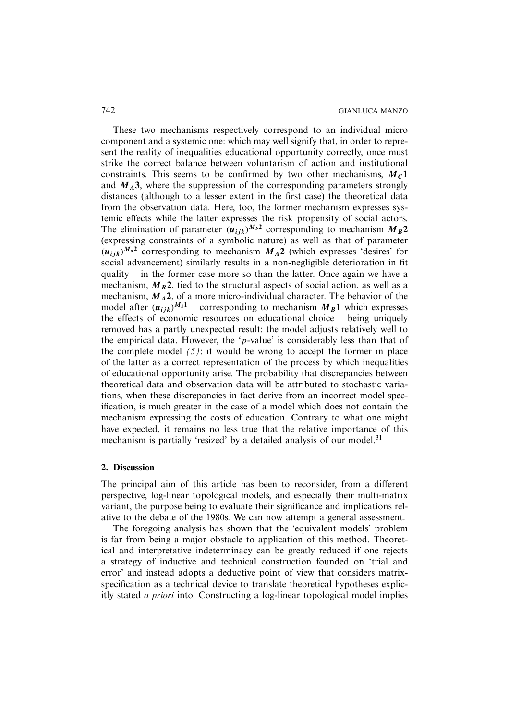These two mechanisms respectively correspond to an individual micro component and a systemic one: which may well signify that, in order to represent the reality of inequalities educational opportunity correctly, once must strike the correct balance between voluntarism of action and institutional constraints. This seems to be confirmed by two other mechanisms,  $M<sub>C</sub>1$ and  $M_A$ **3**, where the suppression of the corresponding parameters strongly distances (although to a lesser extent in the first case) the theoretical data from the observation data. Here, too, the former mechanism expresses systemic effects while the latter expresses the risk propensity of social actors. The elimination of parameter  $(u_{ijk})^{M_b 2}$  corresponding to mechanism  $M_B 2$ (expressing constraints of a symbolic nature) as well as that of parameter  $(u_{ijk})^{M_a2}$  corresponding to mechanism  $M_A2$  (which expresses 'desires' for social advancement) similarly results in a non-negligible deterioration in fit quality – in the former case more so than the latter. Once again we have a mechanism,  $M_B$ **2**, tied to the structural aspects of social action, as well as a mechanism,  $M_A$ **2**, of a more micro-individual character. The behavior of the model after  $(u_{ijk})^{M_b}$ <sup>1</sup> – corresponding to mechanism  $M_B$ **1** which expresses the effects of economic resources on educational choice – being uniquely removed has a partly unexpected result: the model adjusts relatively well to the empirical data. However, the '*p*-value' is considerably less than that of the complete model *(5)*: it would be wrong to accept the former in place of the latter as a correct representation of the process by which inequalities of educational opportunity arise. The probability that discrepancies between theoretical data and observation data will be attributed to stochastic variations, when these discrepancies in fact derive from an incorrect model specification, is much greater in the case of a model which does not contain the mechanism expressing the costs of education. Contrary to what one might have expected, it remains no less true that the relative importance of this mechanism is partially 'resized' by a detailed analysis of our model.<sup>31</sup>

#### **2. Discussion**

The principal aim of this article has been to reconsider, from a different perspective, log-linear topological models, and especially their multi-matrix variant, the purpose being to evaluate their significance and implications relative to the debate of the 1980s. We can now attempt a general assessment.

The foregoing analysis has shown that the 'equivalent models' problem is far from being a major obstacle to application of this method. Theoretical and interpretative indeterminacy can be greatly reduced if one rejects a strategy of inductive and technical construction founded on 'trial and error' and instead adopts a deductive point of view that considers matrixspecification as a technical device to translate theoretical hypotheses explicitly stated *a priori* into. Constructing a log-linear topological model implies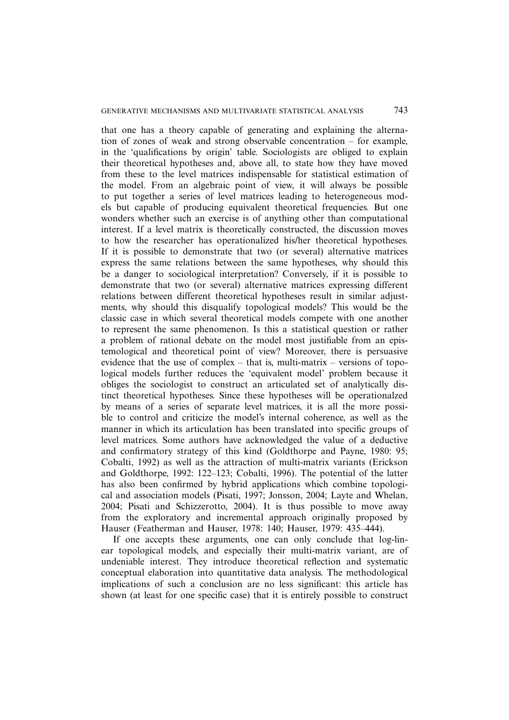that one has a theory capable of generating and explaining the alternation of zones of weak and strong observable concentration – for example, in the 'qualifications by origin' table. Sociologists are obliged to explain their theoretical hypotheses and, above all, to state how they have moved from these to the level matrices indispensable for statistical estimation of the model. From an algebraic point of view, it will always be possible to put together a series of level matrices leading to heterogeneous models but capable of producing equivalent theoretical frequencies. But one wonders whether such an exercise is of anything other than computational interest. If a level matrix is theoretically constructed, the discussion moves to how the researcher has operationalized his/her theoretical hypotheses. If it is possible to demonstrate that two (or several) alternative matrices express the same relations between the same hypotheses, why should this be a danger to sociological interpretation? Conversely, if it is possible to demonstrate that two (or several) alternative matrices expressing different relations between different theoretical hypotheses result in similar adjustments, why should this disqualify topological models? This would be the classic case in which several theoretical models compete with one another to represent the same phenomenon. Is this a statistical question or rather a problem of rational debate on the model most justifiable from an epistemological and theoretical point of view? Moreover, there is persuasive evidence that the use of complex – that is, multi-matrix – versions of topological models further reduces the 'equivalent model' problem because it obliges the sociologist to construct an articulated set of analytically distinct theoretical hypotheses. Since these hypotheses will be operationalzed by means of a series of separate level matrices, it is all the more possible to control and criticize the model's internal coherence, as well as the manner in which its articulation has been translated into specific groups of level matrices. Some authors have acknowledged the value of a deductive and confirmatory strategy of this kind (Goldthorpe and Payne, 1980: 95; Cobalti, 1992) as well as the attraction of multi-matrix variants (Erickson and Goldthorpe, 1992: 122–123; Cobalti, 1996). The potential of the latter has also been confirmed by hybrid applications which combine topological and association models (Pisati, 1997; Jonsson, 2004; Layte and Whelan, 2004; Pisati and Schizzerotto, 2004). It is thus possible to move away from the exploratory and incremental approach originally proposed by Hauser (Featherman and Hauser, 1978: 140; Hauser, 1979: 435–444).

If one accepts these arguments, one can only conclude that log-linear topological models, and especially their multi-matrix variant, are of undeniable interest. They introduce theoretical reflection and systematic conceptual elaboration into quantitative data analysis. The methodological implications of such a conclusion are no less significant: this article has shown (at least for one specific case) that it is entirely possible to construct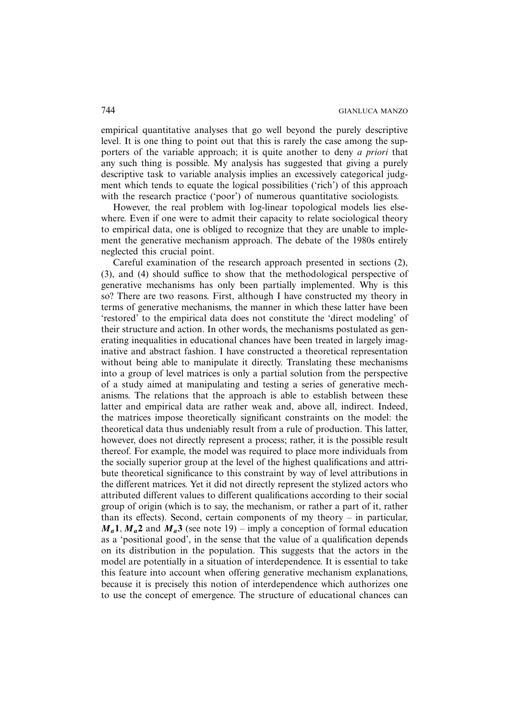empirical quantitative analyses that go well beyond the purely descriptive level. It is one thing to point out that this is rarely the case among the supporters of the variable approach; it is quite another to deny *a priori* that any such thing is possible. My analysis has suggested that giving a purely descriptive task to variable analysis implies an excessively categorical judgment which tends to equate the logical possibilities ('rich') of this approach with the research practice ('poor') of numerous quantitative sociologists.

However, the real problem with log-linear topological models lies elsewhere. Even if one were to admit their capacity to relate sociological theory to empirical data, one is obliged to recognize that they are unable to implement the generative mechanism approach. The debate of the 1980s entirely neglected this crucial point.

Careful examination of the research approach presented in sections (2), (3), and (4) should suffice to show that the methodological perspective of generative mechanisms has only been partially implemented. Why is this so? There are two reasons. First, although I have constructed my theory in terms of generative mechanisms, the manner in which these latter have been 'restored' to the empirical data does not constitute the 'direct modeling' of their structure and action. In other words, the mechanisms postulated as generating inequalities in educational chances have been treated in largely imaginative and abstract fashion. I have constructed a theoretical representation without being able to manipulate it directly. Translating these mechanisms into a group of level matrices is only a partial solution from the perspective of a study aimed at manipulating and testing a series of generative mechanisms. The relations that the approach is able to establish between these latter and empirical data are rather weak and, above all, indirect. Indeed, the matrices impose theoretically significant constraints on the model: the theoretical data thus undeniably result from a rule of production. This latter, however, does not directly represent a process; rather, it is the possible result thereof. For example, the model was required to place more individuals from the socially superior group at the level of the highest qualifications and attribute theoretical significance to this constraint by way of level attributions in the different matrices. Yet it did not directly represent the stylized actors who attributed different values to different qualifications according to their social group of origin (which is to say, the mechanism, or rather a part of it, rather than its effects). Second, certain components of my theory – in particular,  $M_a$ **1**,  $M_a$ **2** and  $M_a$ **3** (see note 19) – imply a conception of formal education as a 'positional good', in the sense that the value of a qualification depends on its distribution in the population. This suggests that the actors in the model are potentially in a situation of interdependence. It is essential to take this feature into account when offering generative mechanism explanations, because it is precisely this notion of interdependence which authorizes one to use the concept of emergence. The structure of educational chances can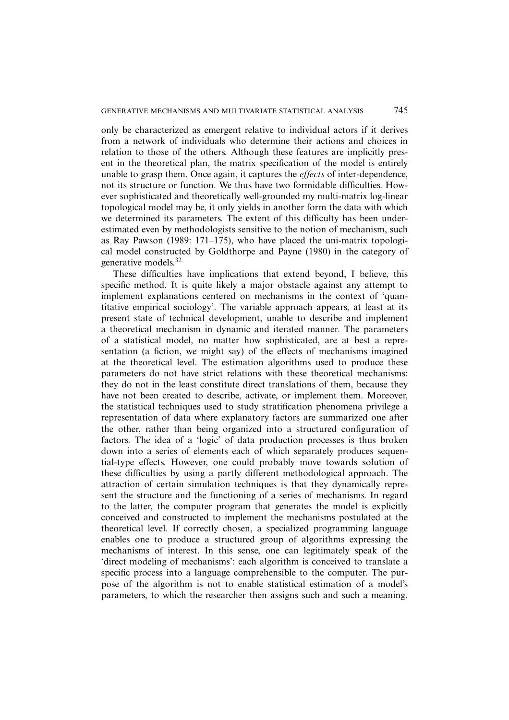only be characterized as emergent relative to individual actors if it derives from a network of individuals who determine their actions and choices in relation to those of the others. Although these features are implicitly present in the theoretical plan, the matrix specification of the model is entirely unable to grasp them. Once again, it captures the *effects* of inter-dependence, not its structure or function. We thus have two formidable difficulties. However sophisticated and theoretically well-grounded my multi-matrix log-linear topological model may be, it only yields in another form the data with which we determined its parameters. The extent of this difficulty has been underestimated even by methodologists sensitive to the notion of mechanism, such as Ray Pawson (1989: 171–175), who have placed the uni-matrix topological model constructed by Goldthorpe and Payne (1980) in the category of generative models.32

These difficulties have implications that extend beyond, I believe, this specific method. It is quite likely a major obstacle against any attempt to implement explanations centered on mechanisms in the context of 'quantitative empirical sociology'. The variable approach appears, at least at its present state of technical development, unable to describe and implement a theoretical mechanism in dynamic and iterated manner. The parameters of a statistical model, no matter how sophisticated, are at best a representation (a fiction, we might say) of the effects of mechanisms imagined at the theoretical level. The estimation algorithms used to produce these parameters do not have strict relations with these theoretical mechanisms: they do not in the least constitute direct translations of them, because they have not been created to describe, activate, or implement them. Moreover, the statistical techniques used to study stratification phenomena privilege a representation of data where explanatory factors are summarized one after the other, rather than being organized into a structured configuration of factors. The idea of a 'logic' of data production processes is thus broken down into a series of elements each of which separately produces sequential-type effects. However, one could probably move towards solution of these difficulties by using a partly different methodological approach. The attraction of certain simulation techniques is that they dynamically represent the structure and the functioning of a series of mechanisms. In regard to the latter, the computer program that generates the model is explicitly conceived and constructed to implement the mechanisms postulated at the theoretical level. If correctly chosen, a specialized programming language enables one to produce a structured group of algorithms expressing the mechanisms of interest. In this sense, one can legitimately speak of the 'direct modeling of mechanisms': each algorithm is conceived to translate a specific process into a language comprehensible to the computer. The purpose of the algorithm is not to enable statistical estimation of a model's parameters, to which the researcher then assigns such and such a meaning.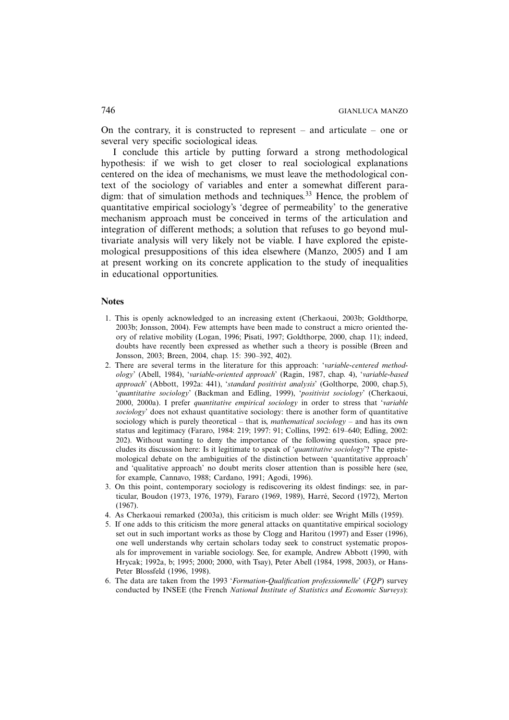On the contrary, it is constructed to represent – and articulate – one or several very specific sociological ideas.

I conclude this article by putting forward a strong methodological hypothesis: if we wish to get closer to real sociological explanations centered on the idea of mechanisms, we must leave the methodological context of the sociology of variables and enter a somewhat different paradigm: that of simulation methods and techniques.<sup>33</sup> Hence, the problem of quantitative empirical sociology's 'degree of permeability' to the generative mechanism approach must be conceived in terms of the articulation and integration of different methods; a solution that refuses to go beyond multivariate analysis will very likely not be viable. I have explored the epistemological presuppositions of this idea elsewhere (Manzo, 2005) and I am at present working on its concrete application to the study of inequalities in educational opportunities.

### **Notes**

- 1*.* This is openly acknowledged to an increasing extent (Cherkaoui, 2003b; Goldthorpe, 2003b; Jonsson, 2004). Few attempts have been made to construct a micro oriented theory of relative mobility (Logan, 1996; Pisati, 1997; Goldthorpe, 2000, chap. 11); indeed, doubts have recently been expressed as whether such a theory is possible (Breen and Jonsson, 2003; Breen, 2004, chap. 15: 390–392, 402).
- 2*.* There are several terms in the literature for this approach: '*variable-centered methodology*' (Abell, 1984), '*variable-oriented approach*' (Ragin, 1987, chap. 4), '*variable-based approach*' (Abbott, 1992a: 441), '*standard positivist analysis*' (Golthorpe, 2000, chap.5), '*quantitative sociology*' (Backman and Edling, 1999), '*positivist sociology*' (Cherkaoui, 2000, 2000a). I prefer *quantitative empirical sociology* in order to stress that '*variable sociology*' does not exhaust quantitative sociology: there is another form of quantitative sociology which is purely theoretical – that is, *mathematical sociology* – and has its own status and legitimacy (Fararo, 1984: 219; 1997: 91; Collins, 1992: 619–640; Edling, 2002: 202). Without wanting to deny the importance of the following question, space precludes its discussion here: Is it legitimate to speak of '*quantitative sociology*'? The epistemological debate on the ambiguities of the distinction between 'quantitative approach' and 'qualitative approach' no doubt merits closer attention than is possible here (see, for example, Cannavo, 1988; Cardano, 1991; Agodi, 1996).
- 3*.* On this point, contemporary sociology is rediscovering its oldest findings: see, in particular, Boudon (1973, 1976, 1979), Fararo (1969, 1989), Harre, Secord (1972), Merton ´ (1967).
- 4*.* As Cherkaoui remarked (2003a), this criticism is much older: see Wright Mills (1959).
- 5*.* If one adds to this criticism the more general attacks on quantitative empirical sociology set out in such important works as those by Clogg and Haritou (1997) and Esser (1996), one well understands why certain scholars today seek to construct systematic proposals for improvement in variable sociology. See, for example, Andrew Abbott (1990, with Hrycak; 1992a, b; 1995; 2000; 2000, with Tsay), Peter Abell (1984, 1998, 2003), or Hans-Peter Blossfeld (1996, 1998).
- 6*.* The data are taken from the 1993 '*Formation-Qualification professionnelle*' (*FQP*) survey conducted by INSEE (the French *National Institute of Statistics and Economic Surveys*):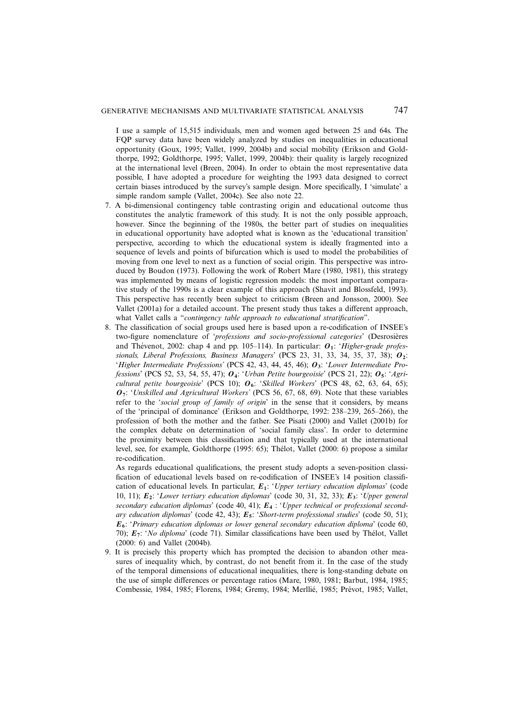I use a sample of 15,515 individuals, men and women aged between 25 and 64s. The FQP survey data have been widely analyzed by studies on inequalities in educational opportunity (Goux, 1995; Vallet, 1999, 2004b) and social mobility (Erikson and Goldthorpe, 1992; Goldthorpe, 1995; Vallet, 1999, 2004b): their quality is largely recognized at the international level (Breen, 2004). In order to obtain the most representative data possible, I have adopted a procedure for weighting the 1993 data designed to correct certain biases introduced by the survey's sample design. More specifically, I 'simulate' a simple random sample (Vallet, 2004c). See also note 22.

- 7*.* A bi-dimensional contingency table contrasting origin and educational outcome thus constitutes the analytic framework of this study. It is not the only possible approach, however. Since the beginning of the 1980s, the better part of studies on inequalities in educational opportunity have adopted what is known as the 'educational transition' perspective, according to which the educational system is ideally fragmented into a sequence of levels and points of bifurcation which is used to model the probabilities of moving from one level to next as a function of social origin. This perspective was introduced by Boudon (1973). Following the work of Robert Mare (1980, 1981), this strategy was implemented by means of logistic regression models: the most important comparative study of the 1990s is a clear example of this approach (Shavit and Blossfeld, 1993). This perspective has recently been subject to criticism (Breen and Jonsson, 2000). See Vallet (2001a) for a detailed account. The present study thus takes a different approach, what Vallet calls a "*contingency table approach to educational stratification*".
- 8*.* The classification of social groups used here is based upon a re-codification of INSEE's two-figure nomenclature of 'professions and socio-professional categories' (Desrosières and Thévenot, 2002: chap 4 and pp. 105–114). In particular:  $O_1$ : 'Higher-grade profes*sionals, Liberal Professions, Business Managers*' (PCS 23, 31, 33, 34, 35, 37, 38); *O***2**: '*Higher Intermediate Professions'* (PCS 42, 43, 44, 45, 46); *O***3**: '*Lower Intermediate Professions*' (PCS 52, 53, 54, 55, 47); *O***4**: '*Urban Petite bourgeoisie*' (PCS 21, 22); *O***5**: '*Agricultural petite bourgeoisie*' (PCS 10); *O***6**: '*Skilled Workers*' (PCS 48, 62, 63, 64, 65); *O***7**: '*Unskilled and Agricultural Workers'* (PCS 56, 67, 68, 69). Note that these variables refer to the '*social group of family of origin*' in the sense that it considers, by means of the 'principal of dominance' (Erikson and Goldthorpe, 1992: 238–239, 265–266), the profession of both the mother and the father. See Pisati (2000) and Vallet (2001b) for the complex debate on determination of 'social family class'. In order to determine the proximity between this classification and that typically used at the international level, see, for example, Goldthorpe (1995: 65); Thelot, Vallet (2000: 6) propose a similar ´ re-codification.

As regards educational qualifications, the present study adopts a seven-position classification of educational levels based on re-codification of INSEE's 14 position classification of educational levels. In particular, *E***1**: '*Upper tertiary education diplomas*' (code 10, 11); *E***2**: '*Lower tertiary education diplomas*' (code 30, 31, 32, 33); *E***3**: '*Upper general secondary education diplomas*' (code 40, 41); *E***<sup>4</sup>** : '*Upper technical or professional secondary education diplomas*' (code 42, 43); *E***5**: '*Short-term professional studies*' (code 50, 51); *E***6**: '*Primary education diplomas or lower general secondary education diploma*' (code 60, 70); *E***7**: '*No diploma*' (code 71). Similar classifications have been used by Thelot, Vallet ´ (2000: 6) and Vallet (2004b).

9*.* It is precisely this property which has prompted the decision to abandon other measures of inequality which, by contrast, do not benefit from it. In the case of the study of the temporal dimensions of educational inequalities, there is long-standing debate on the use of simple differences or percentage ratios (Mare, 1980, 1981; Barbut, 1984, 1985; Combessie, 1984, 1985; Florens, 1984; Gremy, 1984; Merllié, 1985; Prévot, 1985; Vallet,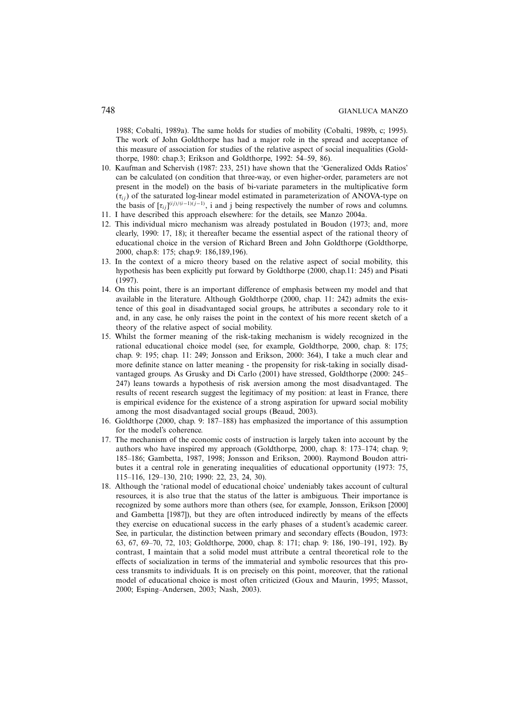1988; Cobalti, 1989a). The same holds for studies of mobility (Cobalti, 1989b, c; 1995). The work of John Goldthorpe has had a major role in the spread and acceptance of this measure of association for studies of the relative aspect of social inequalities (Goldthorpe, 1980: chap.3; Erikson and Goldthorpe, 1992: 54–59, 86).

- 10*.* Kaufman and Schervish (1987: 233, 251) have shown that the 'Generalized Odds Ratios' can be calculated (on condition that three-way, or even higher-order, parameters are not present in the model) on the basis of bi-variate parameters in the multiplicative form (*τij* ) of the saturated log-linear model estimated in parameterization of ANOVA-type on the basis of  $[\tau_{ij}]^{(ij)/(i-1)(j-1)}$ , i and j being respectively the number of rows and columns.
- 11*.* I have described this approach elsewhere: for the details, see Manzo 2004a.
- 12*.* This individual micro mechanism was already postulated in Boudon (1973; and, more clearly, 1990: 17, 18); it thereafter became the essential aspect of the rational theory of educational choice in the version of Richard Breen and John Goldthorpe (Goldthorpe, 2000, chap.8: 175; chap.9: 186,189,196).
- 13*.* In the context of a micro theory based on the relative aspect of social mobility, this hypothesis has been explicitly put forward by Goldthorpe (2000, chap.11: 245) and Pisati (1997).
- 14*.* On this point, there is an important difference of emphasis between my model and that available in the literature. Although Goldthorpe (2000, chap. 11: 242) admits the existence of this goal in disadvantaged social groups, he attributes a secondary role to it and, in any case, he only raises the point in the context of his more recent sketch of a theory of the relative aspect of social mobility.
- 15*.* Whilst the former meaning of the risk-taking mechanism is widely recognized in the rational educational choice model (see, for example, Goldthorpe, 2000, chap. 8: 175; chap. 9: 195; chap. 11: 249; Jonsson and Erikson, 2000: 364), I take a much clear and more definite stance on latter meaning - the propensity for risk-taking in socially disadvantaged groups. As Grusky and Di Carlo (2001) have stressed, Goldthorpe (2000: 245– 247) leans towards a hypothesis of risk aversion among the most disadvantaged. The results of recent research suggest the legitimacy of my position: at least in France, there is empirical evidence for the existence of a strong aspiration for upward social mobility among the most disadvantaged social groups (Beaud, 2003).
- 16*.* Goldthorpe (2000, chap. 9: 187–188) has emphasized the importance of this assumption for the model's coherence.
- 17*.* The mechanism of the economic costs of instruction is largely taken into account by the authors who have inspired my approach (Goldthorpe, 2000, chap. 8: 173–174; chap. 9; 185–186; Gambetta, 1987, 1998; Jonsson and Erikson, 2000). Raymond Boudon attributes it a central role in generating inequalities of educational opportunity (1973: 75, 115–116, 129–130, 210; 1990: 22, 23, 24, 30).
- 18*.* Although the 'rational model of educational choice' undeniably takes account of cultural resources, it is also true that the status of the latter is ambiguous. Their importance is recognized by some authors more than others (see, for example, Jonsson, Erikson [2000] and Gambetta [1987]), but they are often introduced indirectly by means of the effects they exercise on educational success in the early phases of a student's academic career. See, in particular, the distinction between primary and secondary effects (Boudon, 1973: 63, 67, 69–70, 72, 103; Goldthorpe, 2000, chap. 8: 171; chap. 9: 186, 190–191, 192). By contrast, I maintain that a solid model must attribute a central theoretical role to the effects of socialization in terms of the immaterial and symbolic resources that this process transmits to individuals. It is on precisely on this point, moreover, that the rational model of educational choice is most often criticized (Goux and Maurin, 1995; Massot, 2000; Esping–Andersen, 2003; Nash, 2003).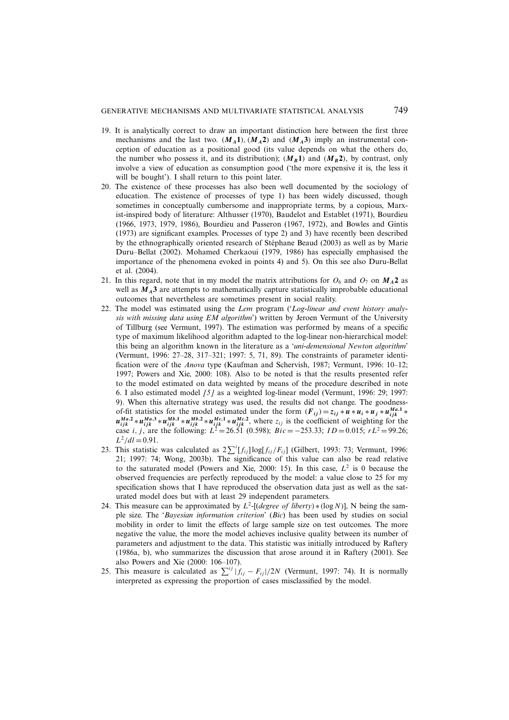- 19*.* It is analytically correct to draw an important distinction here between the first three mechanisms and the last two.  $(M_A1), (M_A2)$  and  $(M_A3)$  imply an instrumental conception of education as a positional good (its value depends on what the others do, the number who possess it, and its distribution);  $(M_B 1)$  and  $(M_B 2)$ , by contrast, only involve a view of education as consumption good ('the more expensive it is, the less it will be bought'). I shall return to this point later.
- 20*.* The existence of these processes has also been well documented by the sociology of education. The existence of processes of type 1) has been widely discussed, though sometimes in conceptually cumbersome and inappropriate terms, by a copious, Marxist-inspired body of literature: Althusser (1970), Baudelot and Establet (1971), Bourdieu (1966, 1973, 1979, 1986), Bourdieu and Passeron (1967, 1972), and Bowles and Gintis (1973) are significant examples. Processes of type 2) and 3) have recently been described by the ethnographically oriented research of Stéphane Beaud (2003) as well as by Marie Duru–Bellat (2002). Mohamed Cherkaoui (1979, 1986) has especially emphasised the importance of the phenomena evoked in points 4) and 5). On this see also Duru-Bellat et al. (2004).
- 21. In this regard, note that in my model the matrix attributions for  $O_6$  and  $O_7$  on  $M_A2$  as well as  $M_A$ **3** are attempts to mathematically capture statistically improbable educational outcomes that nevertheless are sometimes present in social reality.
- 22*.* The model was estimated using the *Lem* program ('*Log-linear and event history analysis with missing data using EM algorithm*') written by Jeroen Vermunt of the University of Tillburg (see Vermunt, 1997). The estimation was performed by means of a specific type of maximum likelihood algorithm adapted to the log-linear non-hierarchical model: this being an algorithm known in the literature as a '*uni-demensional Newton algorithm*' (Vermunt, 1996: 27–28, 317–321; 1997: 5, 71, 89). The constraints of parameter identification were of the *Anova* type (Kaufman and Schervish, 1987; Vermunt, 1996: 10–12; 1997; Powers and Xie, 2000: 108). Also to be noted is that the results presented refer to the model estimated on data weighted by means of the procedure described in note 6. I also estimated model *[5]* as a weighted log-linear model (Vermunt, 1996: 29; 1997: 9). When this alternative strategy was used, the results did not change. The goodnessof-fit statistics for the model estimated under the form  $(F_{ij}) = z_{ij} * u * u_i * u_j * u_{ijk}^{Ma,1} * u_{ijk}^{Ma,2} * u_{ijk}^{Ma,1} * u_{ijk}^{Ma,2} * u_{ijk}^{Ma,2} * u_{ijk}^{Ma,2} * u_{ijk}^{Ma,2} * u_{ijk}^{Ma,2} * u_{ijk}^{Ma,2} * u_{ijk}^{Ma,2} * u_{ijk}^{Ma,2} * u_{ijk}^{Ma,2} * u_{ijk}^{A,2} * u_{ijk}^{A,2} * u_{ijk}^{$  $u_{ijk}^{Ma,2} * u_{ijk}^{Ma,3} * u_{ijk}^{Mb,1} * u_{ijk}^{Mb,2} * u_{ijk}^{Mc,1} * u_{ijk}^{hc,2}$ , where  $z_{ij}$  is the coefficient of weighting for the case *i, j*, are the following:  $L^2 = 26.51$  (0.598);  $Bic = -253.33$ ;  $ID = 0.015$ ;  $rL^2 = 99.26$ ;  $L^2/dl = 0.91$ .
- 23. This statistic was calculated as  $2\sum^{i}[f_{ij}]log[f_{ij}/F_{ij}]$  (Gilbert, 1993: 73; Vermunt, 1996: 21; 1997: 74; Wong, 2003b). The significance of this value can also be read relative to the saturated model (Powers and Xie, 2000: 15). In this case,  $L^2$  is 0 because the observed frequencies are perfectly reproduced by the model: a value close to 25 for my specification shows that I have reproduced the observation data just as well as the saturated model does but with at least 29 independent parameters.
- 24*.* This measure can be approximated by *L*<sup>2</sup>*-*[(*degree of liberty)*∗*(*log *N )*], N being the sample size. The '*Bayesian information criterion*' (*Bic*) has been used by studies on social mobility in order to limit the effects of large sample size on test outcomes. The more negative the value, the more the model achieves inclusive quality between its number of parameters and adjustment to the data. This statistic was initially introduced by Raftery (1986a, b), who summarizes the discussion that arose around it in Raftery (2001). See also Powers and Xie (2000: 106–107).
- 25. This measure is calculated as  $\sum_{i}^{ij} |f_{ij} F_{ij}|/2N$  (Vermunt, 1997: 74). It is normally interpreted as expressing the proportion of cases misclassified by the model.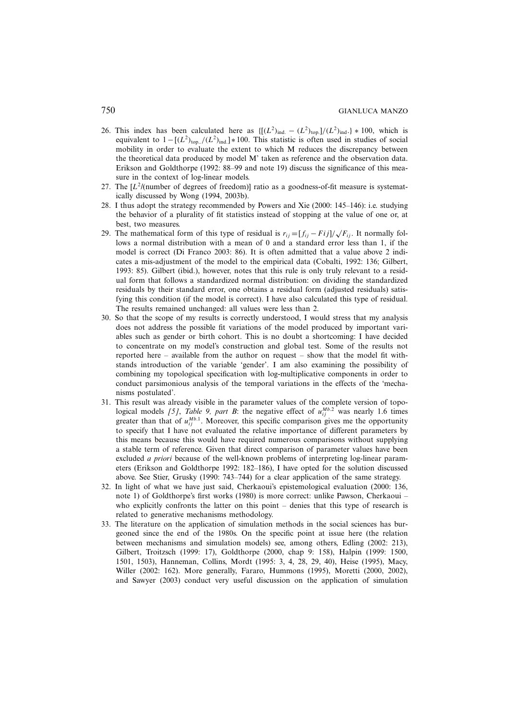- 26. This index has been calculated here as  $\{[(L^2)_{ind.} (L^2)_{top.}]/(L^2)_{ind.}\} * 100$ , which is equivalent to  $1 - [(L^2)_{top.}/(L^2)_{ind.}] * 100$ . This statistic is often used in studies of social mobility in order to evaluate the extent to which M reduces the discrepancy between the theoretical data produced by model M' taken as reference and the observation data. Erikson and Goldthorpe (1992: 88–99 and note 19) discuss the significance of this measure in the context of log-linear models.
- 27. The  $[L^2/(number of degrees of freedom)]$  ratio as a goodness-of-fit measure is systematically discussed by Wong (1994, 2003b).
- 28*.* I thus adopt the strategy recommended by Powers and Xie (2000: 145–146): i.e. studying the behavior of a plurality of fit statistics instead of stopping at the value of one or, at best, two measures.
- 29. The mathematical form of this type of residual is  $r_{ij} = [f_{ij} F_{ij}]/\sqrt{F_{ij}}$ . It normally follows a normal distribution with a mean of 0 and a standard error less than 1, if the model is correct (Di Franco 2003: 86). It is often admitted that a value above 2 indicates a mis-adjustment of the model to the empirical data (Cobalti, 1992: 136; Gilbert, 1993: 85). Gilbert (ibid.), however, notes that this rule is only truly relevant to a residual form that follows a standardized normal distribution: on dividing the standardized residuals by their standard error, one obtains a residual form (adjusted residuals) satisfying this condition (if the model is correct). I have also calculated this type of residual. The results remained unchanged: all values were less than 2.
- 30*.* So that the scope of my results is correctly understood, I would stress that my analysis does not address the possible fit variations of the model produced by important variables such as gender or birth cohort. This is no doubt a shortcoming: I have decided to concentrate on my model's construction and global test. Some of the results not reported here – available from the author on request – show that the model fit withstands introduction of the variable 'gender'. I am also examining the possibility of combining my topological specification with log-multiplicative components in order to conduct parsimonious analysis of the temporal variations in the effects of the 'mechanisms postulated'.
- 31*.* This result was already visible in the parameter values of the complete version of topological models [5], *Table 9, part B*: the negative effect of  $u_{ij}^{Mb.2}$  was nearly 1.6 times greater than that of  $u_{ii}^{Mb.1}$ . Moreover, this specific comparison gives me the opportunity to specify that I have not evaluated the relative importance of different parameters by this means because this would have required numerous comparisons without supplying a stable term of reference. Given that direct comparison of parameter values have been excluded *a priori* because of the well-known problems of interpreting log-linear parameters (Erikson and Goldthorpe 1992: 182–186), I have opted for the solution discussed above. See Stier, Grusky (1990: 743–744) for a clear application of the same strategy.
- 32*.* In light of what we have just said, Cherkaoui's epistemological evaluation (2000: 136, note 1) of Goldthorpe's first works (1980) is more correct: unlike Pawson, Cherkaoui – who explicitly confronts the latter on this point – denies that this type of research is related to generative mechanisms methodology.
- 33*.* The literature on the application of simulation methods in the social sciences has burgeoned since the end of the 1980s. On the specific point at issue here (the relation between mechanisms and simulation models) see, among others, Edling (2002: 213), Gilbert, Troitzsch (1999: 17), Goldthorpe (2000, chap 9: 158), Halpin (1999: 1500, 1501, 1503), Hanneman, Collins, Mordt (1995: 3, 4, 28, 29, 40), Heise (1995), Macy, Willer (2002: 162). More generally, Fararo, Hummons (1995), Moretti (2000, 2002), and Sawyer (2003) conduct very useful discussion on the application of simulation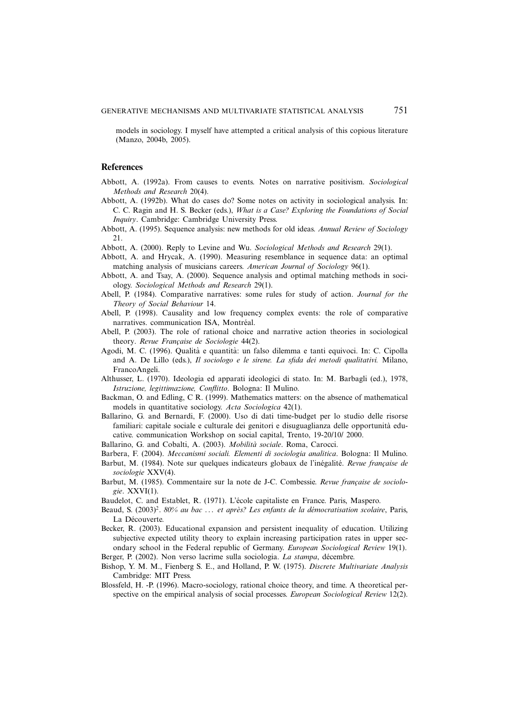models in sociology. I myself have attempted a critical analysis of this copious literature (Manzo, 2004b, 2005).

### **References**

- Abbott, A. (1992a). From causes to events. Notes on narrative positivism. *Sociological Methods and Research* 20(4).
- Abbott, A. (1992b). What do cases do? Some notes on activity in sociological analysis. In: C. C. Ragin and H. S. Becker (eds.), *What is a Case? Exploring the Foundations of Social Inquiry*. Cambridge: Cambridge University Press.
- Abbott, A. (1995). Sequence analysis: new methods for old ideas. *Annual Review of Sociology* 21.
- Abbott, A. (2000). Reply to Levine and Wu. *Sociological Methods and Research* 29(1).
- Abbott, A. and Hrycak, A. (1990). Measuring resemblance in sequence data: an optimal matching analysis of musicians careers. *American Journal of Sociology* 96(1).
- Abbott, A. and Tsay, A. (2000). Sequence analysis and optimal matching methods in sociology. *Sociological Methods and Research* 29(1).
- Abell, P. (1984). Comparative narratives: some rules for study of action. *Journal for the Theory of Social Behaviour* 14.
- Abell, P. (1998). Causality and low frequency complex events: the role of comparative narratives. communication ISA, Montréal.
- Abell, P. (2003). The role of rational choice and narrative action theories in sociological theory. *Revue Française de Sociologie* 44(2).
- Agodi, M. C. (1996). Qualità e quantità: un falso dilemma e tanti equivoci. In: C. Cipolla and A. De Lillo (eds.), *Il sociologo e le sirene. La sfida dei metodi qualitativi.* Milano, FrancoAngeli.
- Althusser, L. (1970). Ideologia ed apparati ideologici di stato. In: M. Barbagli (ed.), 1978, *Istruzione, legittimazione, Conflitto*. Bologna: Il Mulino.
- Backman, O. and Edling, C R. (1999). Mathematics matters: on the absence of mathematical models in quantitative sociology. *Acta Sociologica* 42(1).
- Ballarino, G. and Bernardi, F. (2000). Uso di dati time-budget per lo studio delle risorse familiari: capitale sociale e culturale dei genitori e disuguaglianza delle opportunita edu- ` cative. communication Workshop on social capital, Trento, 19-20/10/ 2000.
- Ballarino, G. and Cobalti, A. (2003). *Mobilità sociale*. Roma, Carocci.
- Barbera, F. (2004). *Meccanismi sociali. Elementi di sociologia analitica*. Bologna: Il Mulino.
- Barbut, M. (1984). Note sur quelques indicateurs globaux de l'inégalité. Revue française de *sociologie* XXV(4).
- Barbut, M. (1985). Commentaire sur la note de J-C. Combessie. *Revue française de sociologie*. XXVI(1).
- Baudelot, C. and Establet, R. (1971). L'école capitaliste en France. Paris, Maspero.
- Beaud, S. (2003)<sup>2</sup>. *80% au bac* ... *et après? Les enfants de la démocratisation scolaire*, Paris, La Découverte.
- Becker, R. (2003). Educational expansion and persistent inequality of education. Utilizing subjective expected utility theory to explain increasing participation rates in upper secondary school in the Federal republic of Germany. *European Sociological Review* 19(1). Berger, P. (2002). Non verso lacrime sulla sociologia. *La stampa*, décembre.
- Bishop, Y. M. M., Fienberg S. E., and Holland, P. W. (1975). *Discrete Multivariate Analysis* Cambridge: MIT Press.
- Blossfeld, H. -P. (1996). Macro-sociology, rational choice theory, and time. A theoretical perspective on the empirical analysis of social processes. *European Sociological Review* 12(2).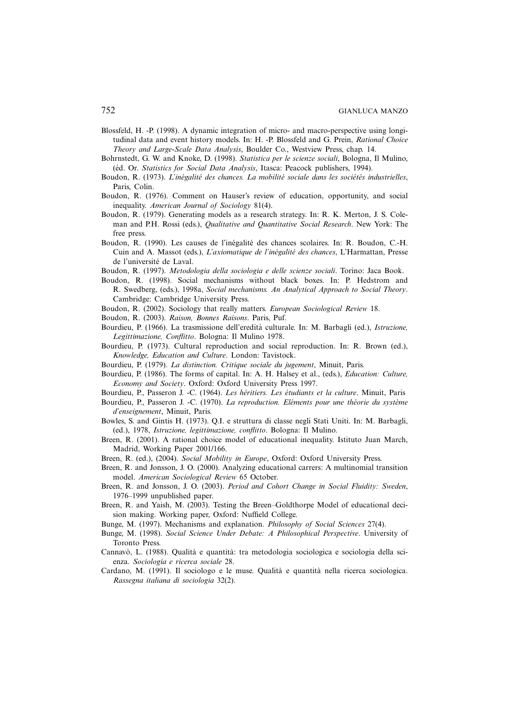- Blossfeld, H. -P. (1998). A dynamic integration of micro- and macro-perspective using longitudinal data and event history models. In: H. -P. Blossfeld and G. Prein, *Rational Choice Theory and Large-Scale Data Analysis*, Boulder Co., Westview Press, chap. 14.
- Bohrnstedt, G. W. and Knoke, D. (1998). *Statistica per le scienze sociali*, Bologna, Il Mulino, (éd. Or. Statistics for Social Data Analysis, Itasca: Peacock publishers, 1994).
- Boudon, R. (1973). *L'inégalité des chances. La mobilité sociale dans les sociétés industrielles*, Paris, Colin.
- Boudon, R. (1976). Comment on Hauser's review of education, opportunity, and social inequality. *American Journal of Sociology* 81(4).
- Boudon, R. (1979). Generating models as a research strategy. In: R. K. Merton, J. S. Coleman and P.H. Rossi (eds.), *Qualitative and Quantitative Social Research*. New York: The free press.
- Boudon, R. (1990). Les causes de l'inégalité des chances scolaires. In: R. Boudon, C.-H. Cuin and A. Massot (eds.), *L'axiomatique de l'inegalit ´ e des chances ´* , L'Harmattan, Presse de l'université de Laval.
- Boudon, R. (1997). *Metodologia della sociologia e delle scienze sociali*. Torino: Jaca Book.
- Boudon, R. (1998). Social mechanisms without black boxes. In: P. Hedstrom and R. Swedberg, (eds.), 1998a, *Social mechanisms. An Analytical Approach to Social Theory*. Cambridge: Cambridge University Press.
- Boudon, R. (2002). Sociology that really matters. *European Sociological Review* 18.
- Boudon, R. (2003). *Raison, Bonnes Raisons*. Paris, Puf.
- Bourdieu, P. (1966). La trasmissione dell'eredita culturale. In: M. Barbagli (ed.), ` *Istruzione, Legittimazione, Conflitto*. Bologna: Il Mulino 1978.
- Bourdieu, P. (1973). Cultural reproduction and social reproduction. In: R. Brown (ed.), *Knowledge, Education and Culture*. London: Tavistock.
- Bourdieu, P. (1979). *La distinction. Critique sociale du jugement*, Minuit, Paris.
- Bourdieu, P. (1986). The forms of capital. In: A. H. Halsey et al., (eds.), *Education: Culture, Economy and Society*. Oxford: Oxford University Press 1997.
- Bourdieu, P., Passeron J. -C. (1964). *Les heritiers. Les ´ etudiants et la culture ´* . Minuit, Paris
- Bourdieu, P., Passeron J. -C. (1970). *La reproduction. Eléments pour une théorie du système d'enseignement*, Minuit, Paris.
- Bowles, S. and Gintis H. (1973). Q.I. e struttura di classe negli Stati Uniti. In: M. Barbagli, (ed.), 1978, *Istruzione, legittimazione, conflitto*. Bologna: Il Mulino.
- Breen, R. (2001). A rational choice model of educational inequality. Istituto Juan March, Madrid, Working Paper 2001/166.
- Breen, R. (ed.), (2004). *Social Mobility in Europe*, Oxford: Oxford University Press.
- Breen, R. and Jonsson, J. O. (2000). Analyzing educational carrers: A multinomial transition model. *American Sociological Review* 65 October.
- Breen, R. and Jonsson, J. O. (2003). *Period and Cohort Change in Social Fluidity: Sweden*, 1976–1999 unpublished paper.
- Breen, R. and Yaish, M. (2003). Testing the Breen–Goldthorpe Model of educational decision making. Working paper, Oxford: Nuffield College.
- Bunge, M. (1997). Mechanisms and explanation. *Philosophy of Social Sciences* 27(4).
- Bunge, M. (1998). *Social Science Under Debate: A Philosophical Perspective*. University of Toronto Press.
- Cannavò, L. (1988). Qualità e quantità: tra metodologia sociologica e sociologia della scienza. *Sociologia e ricerca sociale* 28.
- Cardano, M. (1991). Il sociologo e le muse. Qualità e quantità nella ricerca sociologica. *Rassegna italiana di sociologia* 32(2).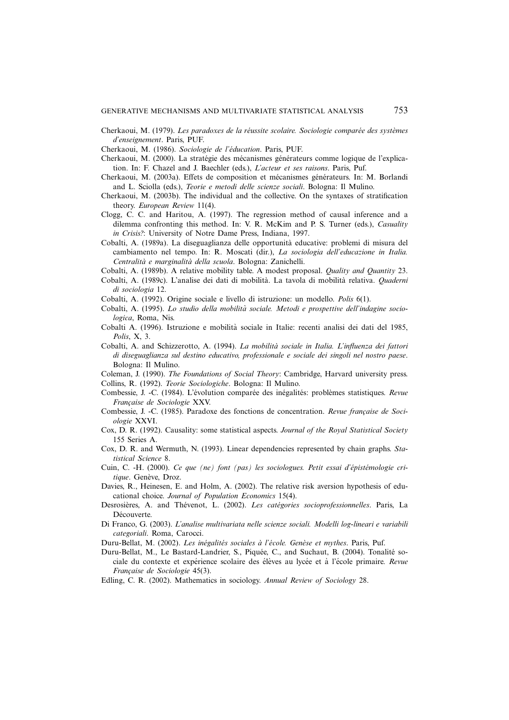- Cherkaoui, M. (1979). *Les paradoxes de la réussite scolaire. Sociologie comparée des systèmes d'enseignement*. Paris, PUF.
- Cherkaoui, M. (1986). *Sociologie de l'éducation*. Paris, PUF.
- Cherkaoui, M. (2000). La stratégie des mécanismes générateurs comme logique de l'explication. In: F. Chazel and J. Baechler (eds.), *L'acteur et ses raisons*. Paris, Puf.
- Cherkaoui, M. (2003a). Effets de composition et mécanismes générateurs. In: M. Borlandi and L. Sciolla (eds.), *Teorie e metodi delle scienze sociali*. Bologna: Il Mulino.
- Cherkaoui, M. (2003b). The individual and the collective. On the syntaxes of stratification theory. *European Review* 11(4).
- Clogg, C. C. and Haritou, A. (1997). The regression method of causal inference and a dilemma confronting this method. In: V. R. McKim and P. S. Turner (eds.), *Casuality in Crisis?*: University of Notre Dame Press, Indiana, 1997.
- Cobalti, A. (1989a). La diseguaglianza delle opportunita educative: problemi di misura del ` cambiamento nel tempo. In: R. Moscati (dir.), *La sociologia dell'educazione in Italia. Centralita e marginalit ` a della scuola `* . Bologna: Zanichelli.
- Cobalti, A. (1989b). A relative mobility table. A modest proposal. *Quality and Quantity* 23.
- Cobalti, A. (1989c). L'analise dei dati di mobilità. La tavola di mobilità relativa. *Quaderni di sociologia* 12.
- Cobalti, A. (1992). Origine sociale e livello di istruzione: un modello. *Polis* 6(1).
- Cobalti, A. (1995). *Lo studio della mobilita sociale. Metodi e prospettive dell'indagine socio- ` logica*, Roma, Nis.
- Cobalti A. (1996). Istruzione e mobilita sociale in Italie: recenti analisi dei dati del 1985, ` *Polis*, X, 3.
- Cobalti, A. and Schizzerotto, A. (1994). *La mobilita sociale in Italia. L'influenza dei fattori ` di diseguaglianza sul destino educativo, professionale e sociale dei singoli nel nostro paese*. Bologna: Il Mulino.

Coleman, J. (1990). *The Foundations of Social Theory*: Cambridge, Harvard university press.

- Collins, R. (1992). *Teorie Sociologiche*. Bologna: Il Mulino.
- Combessie, J. -C. (1984). L'évolution comparée des inégalités: problèmes statistiques. Revue *Franc¸aise de Sociologie* XXV.
- Combessie, J. -C. (1985). Paradoxe des fonctions de concentration. Revue française de Soci*ologie* XXVI.
- Cox, D. R. (1992). Causality: some statistical aspects. *Journal of the Royal Statistical Society* 155 Series A.
- Cox, D. R. and Wermuth, N. (1993). Linear dependencies represented by chain graphs. *Statistical Science* 8.
- Cuin, C. -H. (2000). *Ce que (ne) font (pas) les sociologues. Petit essai d'epist ´ emologie cri- ´ tique*. Genève, Droz.
- Davies, R., Heinesen, E. and Holm, A. (2002). The relative risk aversion hypothesis of educational choice. *Journal of Population Economics* 15(4).
- Desrosières, A. and Thévenot, L. (2002). Les catégories socioprofessionnelles. Paris, La Découverte.
- Di Franco, G. (2003). *L'analise multivariata nelle scienze sociali. Modelli log-lineari e variabili categoriali*. Roma, Carocci.
- Duru-Bellat, M. (2002). *Les inegalit ´ es sociales ´ a l' ` ecole. Gen ´ ese et mythes `* . Paris, Puf.
- Duru-Bellat, M., Le Bastard-Landrier, S., Piquée, C., and Suchaut, B. (2004). Tonalité sociale du contexte et expérience scolaire des élèves au lycée et à l'école primaire. Revue *Franc¸aise de Sociologie* 45(3).
- Edling, C. R. (2002). Mathematics in sociology. *Annual Review of Sociology* 28.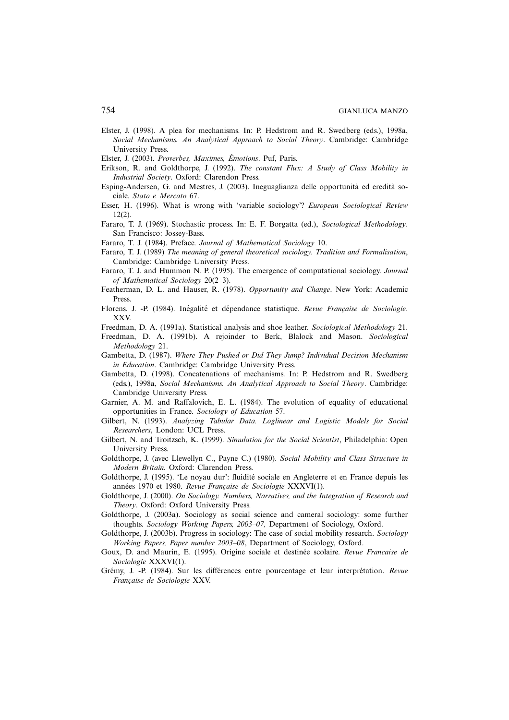- Elster, J. (1998). A plea for mechanisms. In: P. Hedstrom and R. Swedberg (eds.), 1998a, *Social Mechanisms. An Analytical Approach to Social Theory*. Cambridge: Cambridge University Press.
- Elster, J. (2003). *Proverbes, Maximes, Émotions*. Puf, Paris.
- Erikson, R. and Goldthorpe, J. (1992). *The constant Flux: A Study of Class Mobility in Industrial Society*. Oxford: Clarendon Press.
- Esping-Andersen, G. and Mestres, J. (2003). Ineguaglianza delle opportunità ed eredità sociale. *Stato e Mercato* 67.
- Esser, H. (1996). What is wrong with 'variable sociology'? *European Sociological Review* 12(2).
- Fararo, T. J. (1969). Stochastic process. In: E. F. Borgatta (ed.), *Sociological Methodology*. San Francisco: Jossey-Bass.
- Fararo, T. J. (1984). Preface. *Journal of Mathematical Sociology* 10.
- Fararo, T. J. (1989) *The meaning of general theoretical sociology. Tradition and Formalisation*, Cambridge: Cambridge University Press.
- Fararo, T. J. and Hummon N. P. (1995). The emergence of computational sociology. *Journal of Mathematical Sociology* 20(2–3).
- Featherman, D. L. and Hauser, R. (1978). *Opportunity and Change*. New York: Academic Press.
- Florens. J. -P. (1984). Inégalité et dépendance statistique. Revue Française de Sociologie. XXV.
- Freedman, D. A. (1991a). Statistical analysis and shoe leather. *Sociological Methodology* 21.
- Freedman, D. A. (1991b). A rejoinder to Berk, Blalock and Mason. *Sociological Methodology* 21.
- Gambetta, D. (1987). *Where They Pushed or Did They Jump? Individual Decision Mechanism in Education*. Cambridge: Cambridge University Press.
- Gambetta, D. (1998). Concatenations of mechanisms. In: P. Hedstrom and R. Swedberg (eds.), 1998a, *Social Mechanisms. An Analytical Approach to Social Theory*. Cambridge: Cambridge University Press.
- Garnier, A. M. and Raffalovich, E. L. (1984). The evolution of equality of educational opportunities in France. *Sociology of Education* 57.
- Gilbert, N. (1993). *Analyzing Tabular Data. Loglinear and Logistic Models for Social Researchers*, London: UCL Press.
- Gilbert, N. and Troitzsch, K. (1999). *Simulation for the Social Scientist*, Philadelphia: Open University Press.
- Goldthorpe, J. (avec Llewellyn C., Payne C.) (1980). *Social Mobility and Class Structure in Modern Britain.* Oxford: Clarendon Press.
- Goldthorpe, J. (1995). 'Le noyau dur': fluidité sociale en Angleterre et en France depuis les années 1970 et 1980. Revue Française de Sociologie XXXVI(1).
- Goldthorpe, J. (2000). *On Sociology. Numbers, Narratives, and the Integration of Research and Theory*. Oxford: Oxford University Press.
- Goldthorpe, J. (2003a). Sociology as social science and cameral sociology: some further thoughts. *Sociology Working Papers, 2003–07,* Department of Sociology, Oxford.
- Goldthorpe, J. (2003b). Progress in sociology: The case of social mobility research. *Sociology Working Papers, Paper number 2003–08*, Department of Sociology, Oxford.
- Goux, D. and Maurin, E. (1995). Origine sociale et destinée scolaire. *Revue Francaise de Sociologie* XXXVI(1).
- Grémy, J. -P. (1984). Sur les différences entre pourcentage et leur interprétation. Revue *Franc¸aise de Sociologie* XXV.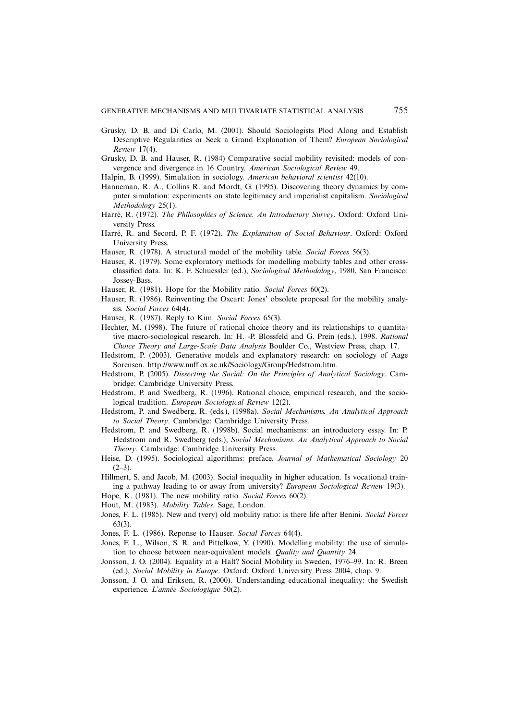- Grusky, D. B. and Di Carlo, M. (2001). Should Sociologists Plod Along and Establish Descriptive Regularities or Seek a Grand Explanation of Them? *European Sociological Review* 17(4).
- Grusky, D. B. and Hauser, R. (1984) Comparative social mobility revisited: models of convergence and divergence in 16 Country. *American Sociological Review* 49.
- Halpin, B. (1999). Simulation in sociology. *American behavioral scientist* 42(10).
- Hanneman, R. A., Collins R. and Mordt, G. (1995). Discovering theory dynamics by computer simulation: experiments on state legitimacy and imperialist capitalism. *Sociological Methodology* 25(1).
- Harré, R. (1972). *The Philosophies of Science. An Introductory Survey*. Oxford: Oxford University Press.
- Harré, R. and Secord, P. F. (1972). *The Explanation of Social Behaviour*. Oxford: Oxford University Press.
- Hauser, R. (1978). A structural model of the mobility table. *Social Forces* 56(3).
- Hauser, R. (1979). Some exploratory methods for modelling mobility tables and other crossclassified data. In: K. F. Schuessler (ed.), *Sociological Methodology*, 1980, San Francisco: Jossey-Bass.
- Hauser, R. (1981). Hope for the Mobility ratio. *Social Forces* 60(2).
- Hauser, R. (1986). Reinventing the Oxcart: Jones' obsolete proposal for the mobility analysis. *Social Forces* 64(4).
- Hauser, R. (1987). Reply to Kim. *Social Forces* 65(3).
- Hechter, M. (1998). The future of rational choice theory and its relationships to quantitative macro-sociological research. In: H. -P. Blossfeld and G. Prein (eds.), 1998. *Rational Choice Theory and Large-Scale Data Analysis* Boulder Co., Westview Press, chap. 17.
- Hedstrom, P. (2003). Generative models and explanatory research: on sociology of Aage Sorensen. http://www.nuff.ox.ac.uk/Sociology/Group/Hedstrom.htm.
- Hedstrom, P. (2005). *Dissecting the Social: On the Principles of Analytical Sociology*. Cambridge: Cambridge University Press.
- Hedstrom, P. and Swedberg, R. (1996). Rational choice, empirical research, and the sociological tradition. *European Sociological Review* 12(2).
- Hedstrom, P. and Swedberg, R. (eds.), (1998a). *Social Mechanisms. An Analytical Approach to Social Theory*. Cambridge: Cambridge University Press.
- Hedstrom, P. and Swedberg, R. (1998b). Social mechanisms: an introductory essay. In: P. Hedstrom and R. Swedberg (eds.), *Social Mechanisms. An Analytical Approach to Social Theory*. Cambridge: Cambridge University Press.
- Heise, D. (1995). Sociological algorithms: preface. *Journal of Mathematical Sociology* 20  $(2-3)$ .
- Hillmert, S. and Jacob, M. (2003). Social inequality in higher education. Is vocational training a pathway leading to or away from university? *European Sociological Review* 19(3).
- Hope, K. (1981). The new mobility ratio. *Social Forces* 60(2).
- Hout, M. (1983). *Mobility Tables.* Sage, London.
- Jones, F. L. (1985). New and (very) old mobility ratio: is there life after Benini. *Social Forces* 63(3).
- Jones, F. L. (1986). Reponse to Hauser. *Social Forces* 64(4).
- Jones, F. L., Wilson, S. R. and Pittelkow, Y. (1990). Modelling mobility: the use of simulation to choose between near-equivalent models. *Quality and Quantity* 24.
- Jonsson, J. O. (2004). Equality at a Halt? Social Mobility in Sweden, 1976–99. In: R. Breen (ed.), *Social Mobility in Europe*. Oxford: Oxford University Press 2004, chap. 9.
- Jonsson, J. O. and Erikson, R. (2000). Understanding educational inequality: the Swedish experience. *L'année Sociologique* 50(2).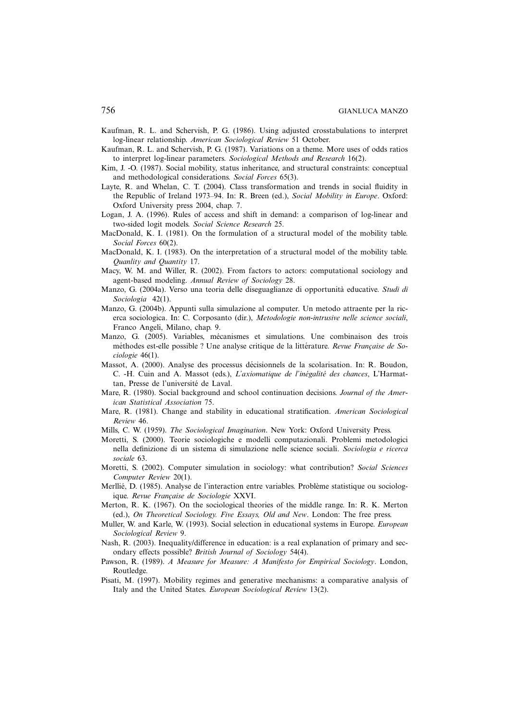- Kaufman, R. L. and Schervish, P. G. (1986). Using adjusted crosstabulations to interpret log-linear relationship. *American Sociological Review* 51 October.
- Kaufman, R. L. and Schervish, P. G. (1987). Variations on a theme. More uses of odds ratios to interpret log-linear parameters. *Sociological Methods and Research* 16(2).
- Kim, J. -O. (1987). Social mobility, status inheritance, and structural constraints: conceptual and methodological considerations. *Social Forces* 65(3).
- Layte, R. and Whelan, C. T. (2004). Class transformation and trends in social fluidity in the Republic of Ireland 1973–94. In: R. Breen (ed.), *Social Mobility in Europe*. Oxford: Oxford University press 2004, chap. 7.
- Logan, J. A. (1996). Rules of access and shift in demand: a comparison of log-linear and two-sided logit models. *Social Science Research* 25.
- MacDonald, K. I. (1981). On the formulation of a structural model of the mobility table. *Social Forces* 60(2).
- MacDonald, K. I. (1983). On the interpretation of a structural model of the mobility table. *Quanlity and Quantity* 17.
- Macy, W. M. and Willer, R. (2002). From factors to actors: computational sociology and agent-based modeling. *Annual Review of Sociology* 28.
- Manzo, G. (2004a). Verso una teoria delle diseguaglianze di opportunita educative. ` *Studi di Sociologia* 42(1).
- Manzo, G. (2004b). Appunti sulla simulazione al computer. Un metodo attraente per la ricerca sociologica. In: C. Corposanto (dir.), *Metodologie non-intrusive nelle science sociali*, Franco Angeli, Milano, chap. 9.
- Manzo, G. (2005). Variables, mécanismes et simulations. Une combinaison des trois méthodes est-elle possible ? Une analyse critique de la littérature. Revue Française de So*ciologie* 46(1).
- Massot, A. (2000). Analyse des processus decisionnels de la scolarisation. In: R. Boudon, ´ C. -H. Cuin and A. Massot (eds.), *L'axiomatique de l'inégalité des chances*, L'Harmattan, Presse de l'université de Laval.
- Mare, R. (1980). Social background and school continuation decisions. *Journal of the American Statistical Association* 75.
- Mare, R. (1981). Change and stability in educational stratification. *American Sociological Review* 46.
- Mills, C. W. (1959). *The Sociological Imagination*. New York: Oxford University Press.
- Moretti, S. (2000). Teorie sociologiche e modelli computazionali. Problemi metodologici nella definizione di un sistema di simulazione nelle science sociali. *Sociologia e ricerca sociale* 63.
- Moretti, S. (2002). Computer simulation in sociology: what contribution? *Social Sciences Computer Review* 20(1).
- Merllié, D. (1985). Analyse de l'interaction entre variables. Problème statistique ou sociologique. Revue Française de Sociologie XXVI.
- Merton, R. K. (1967). On the sociological theories of the middle range. In: R. K. Merton (ed.), *On Theoretical Sociology. Five Essays, Old and New*. London: The free press.
- Muller, W. and Karle, W. (1993). Social selection in educational systems in Europe. *European Sociological Review* 9.
- Nash, R. (2003). Inequality/difference in education: is a real explanation of primary and secondary effects possible? *British Journal of Sociology* 54(4).
- Pawson, R. (1989). *A Measure for Measure: A Manifesto for Empirical Sociology*. London, Routledge.
- Pisati, M. (1997). Mobility regimes and generative mechanisms: a comparative analysis of Italy and the United States. *European Sociological Review* 13(2).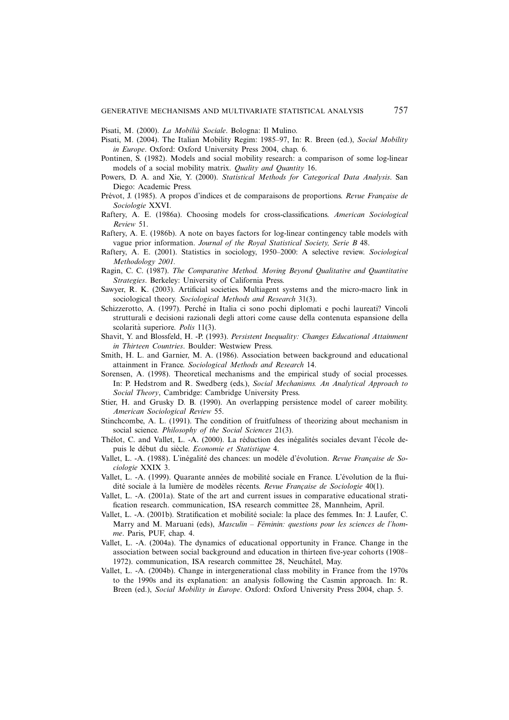Pisati, M. (2000). *La Mobilia Sociale `* . Bologna: Il Mulino.

- Pisati, M. (2004). The Italian Mobility Regim: 1985–97, In: R. Breen (ed.), *Social Mobility in Europe*. Oxford: Oxford University Press 2004, chap. 6.
- Pontinen, S. (1982). Models and social mobility research: a comparison of some log-linear models of a social mobility matrix. *Quality and Quantity* 16.
- Powers, D. A. and Xie, Y. (2000). *Statistical Methods for Categorical Data Analysis*. San Diego: Academic Press.
- Prévot, J. (1985). A propos d'indices et de comparaisons de proportions. Revue Française de *Sociologie* XXVI.
- Raftery, A. E. (1986a). Choosing models for cross-classifications. *American Sociological Review* 51.
- Raftery, A. E. (1986b). A note on bayes factors for log-linear contingency table models with vague prior information. *Journal of the Royal Statistical Society, Serie B* 48.
- Raftery, A. E. (2001). Statistics in sociology, 1950–2000: A selective review. *Sociological Methodology 2001.*
- Ragin, C. C. (1987). *The Comparative Method. Moving Beyond Qualitative and Quantitative Strategies*. Berkeley: University of California Press.
- Sawyer, R. K. (2003). Artificial societies. Multiagent systems and the micro-macro link in sociological theory. *Sociological Methods and Research* 31(3).
- Schizzerotto, A. (1997). Perché in Italia ci sono pochi diplomati e pochi laureati? Vincoli strutturali e decisioni razionali degli attori come cause della contenuta espansione della scolarità superiore. *Polis* 11(3).
- Shavit, Y. and Blossfeld, H. -P. (1993). *Persistent Inequality: Changes Educational Attainment in Thirteen Countries*. Boulder: Westwiew Press.
- Smith, H. L. and Garnier, M. A. (1986). Association between background and educational attainment in France. *Sociological Methods and Research* 14.
- Sorensen, A. (1998). Theoretical mechanisms and the empirical study of social processes. In: P. Hedstrom and R. Swedberg (eds.), *Social Mechanisms. An Analytical Approach to Social Theory*, Cambridge: Cambridge University Press.
- Stier, H. and Grusky D. B. (1990). An overlapping persistence model of career mobility. *American Sociological Review* 55.
- Stinchcombe, A. L. (1991). The condition of fruitfulness of theorizing about mechanism in social science. *Philosophy of the Social Sciences* 21(3).
- Thélot, C. and Vallet, L. -A. (2000). La réduction des inégalités sociales devant l'école depuis le début du siècle. Economie et Statistique 4.
- Vallet, L. -A. (1988). L'inégalité des chances: un modèle d'évolution. *Revue Française de Sociologie* XXIX 3.
- Vallet, L. -A. (1999). Quarante années de mobilité sociale en France. L'évolution de la fluidité sociale à la lumière de modèles récents. Revue Française de Sociologie 40(1).
- Vallet, L. -A. (2001a). State of the art and current issues in comparative educational stratification research. communication, ISA research committee 28, Mannheim, April.
- Vallet, L. -A. (2001b). Stratification et mobilite sociale: la place des femmes. In: J. Laufer, C. ´ Marry and M. Maruani (eds), *Masculin – Feminin: questions pour les sciences de l'hom- ´ me*. Paris, PUF, chap. 4.
- Vallet, L. -A. (2004a). The dynamics of educational opportunity in France. Change in the association between social background and education in thirteen five-year cohorts (1908– 1972). communication, ISA research committee 28, Neuchâtel, May.
- Vallet, L. -A. (2004b). Change in intergenerational class mobility in France from the 1970s to the 1990s and its explanation: an analysis following the Casmin approach. In: R. Breen (ed.), *Social Mobility in Europe*. Oxford: Oxford University Press 2004, chap. 5.